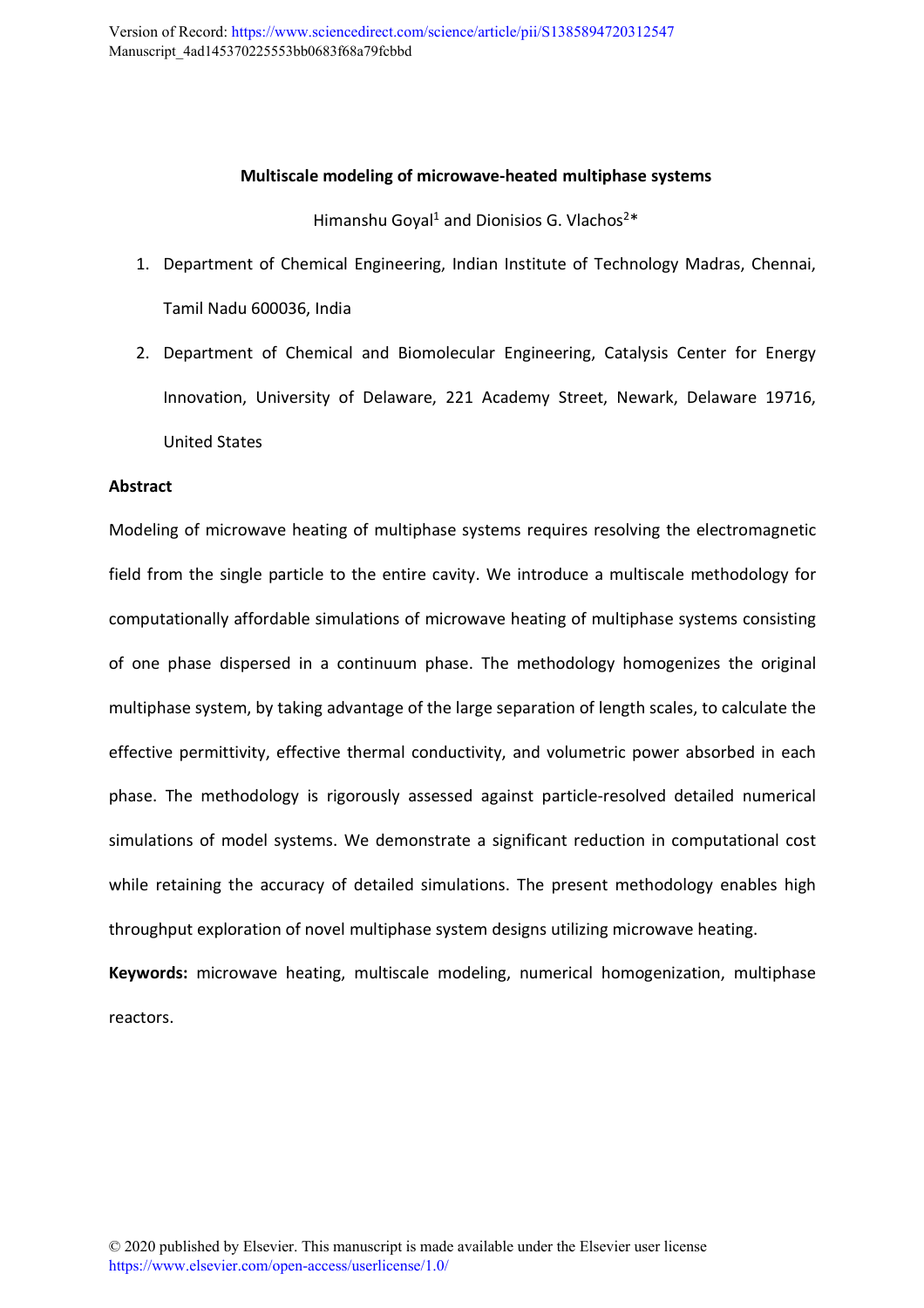## **Multiscale modeling of microwave-heated multiphase systems**

Himanshu Goyal<sup>1</sup> and Dionisios G. Vlachos<sup>2\*</sup>

- 1. Department of Chemical Engineering, Indian Institute of Technology Madras, Chennai, Tamil Nadu 600036, India
- 2. Department of Chemical and Biomolecular Engineering, Catalysis Center for Energy Innovation, University of Delaware, 221 Academy Street, Newark, Delaware 19716, United States

## **Abstract**

Modeling of microwave heating of multiphase systems requires resolving the electromagnetic field from the single particle to the entire cavity. We introduce a multiscale methodology for computationally affordable simulations of microwave heating of multiphase systems consisting of one phase dispersed in a continuum phase. The methodology homogenizes the original multiphase system, by taking advantage of the large separation of length scales, to calculate the effective permittivity, effective thermal conductivity, and volumetric power absorbed in each phase. The methodology is rigorously assessed against particle-resolved detailed numerical simulations of model systems. We demonstrate a significant reduction in computational cost while retaining the accuracy of detailed simulations. The present methodology enables high throughput exploration of novel multiphase system designs utilizing microwave heating.

**Keywords:** microwave heating, multiscale modeling, numerical homogenization, multiphase reactors.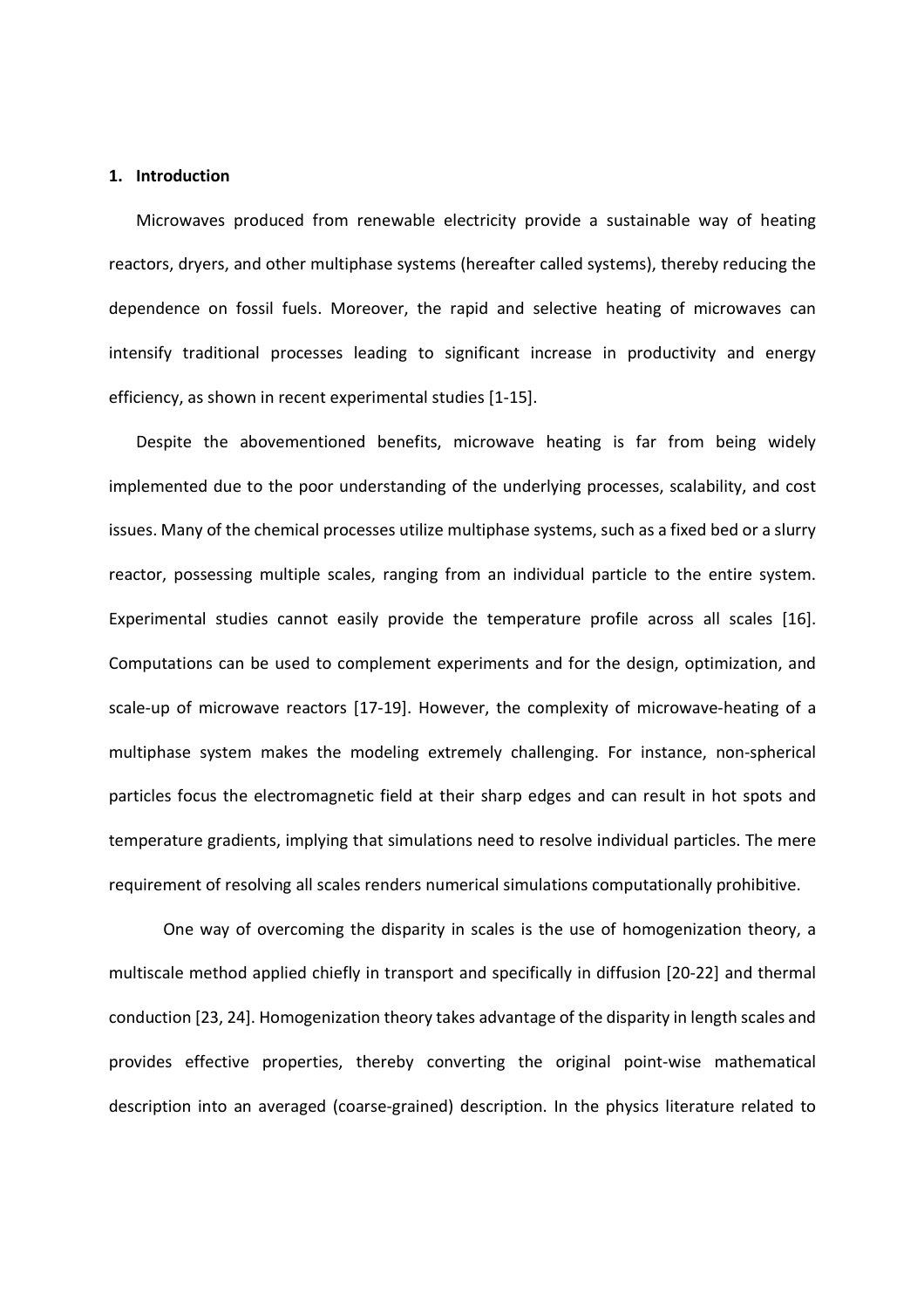#### **1. Introduction**

Microwaves produced from renewable electricity provide a sustainable way of heating reactors, dryers, and other multiphase systems (hereafter called systems), thereby reducing the dependence on fossil fuels. Moreover, the rapid and selective heating of microwaves can intensify traditional processes leading to significant increase in productivity and energy efficiency, as shown in recent experimental studies [1-15].

Despite the abovementioned benefits, microwave heating is far from being widely implemented due to the poor understanding of the underlying processes, scalability, and cost issues. Many of the chemical processes utilize multiphase systems, such as a fixed bed or a slurry reactor, possessing multiple scales, ranging from an individual particle to the entire system. Experimental studies cannot easily provide the temperature profile across all scales [16]. Computations can be used to complement experiments and for the design, optimization, and scale-up of microwave reactors [17-19]. However, the complexity of microwave-heating of a multiphase system makes the modeling extremely challenging. For instance, non-spherical particles focus the electromagnetic field at their sharp edges and can result in hot spots and temperature gradients, implying that simulations need to resolve individual particles. The mere requirement of resolving all scales renders numerical simulations computationally prohibitive.

One way of overcoming the disparity in scales is the use of homogenization theory, a multiscale method applied chiefly in transport and specifically in diffusion [20-22] and thermal conduction [23, 24]. Homogenization theory takes advantage of the disparity in length scales and provides effective properties, thereby converting the original point-wise mathematical description into an averaged (coarse-grained) description. In the physics literature related to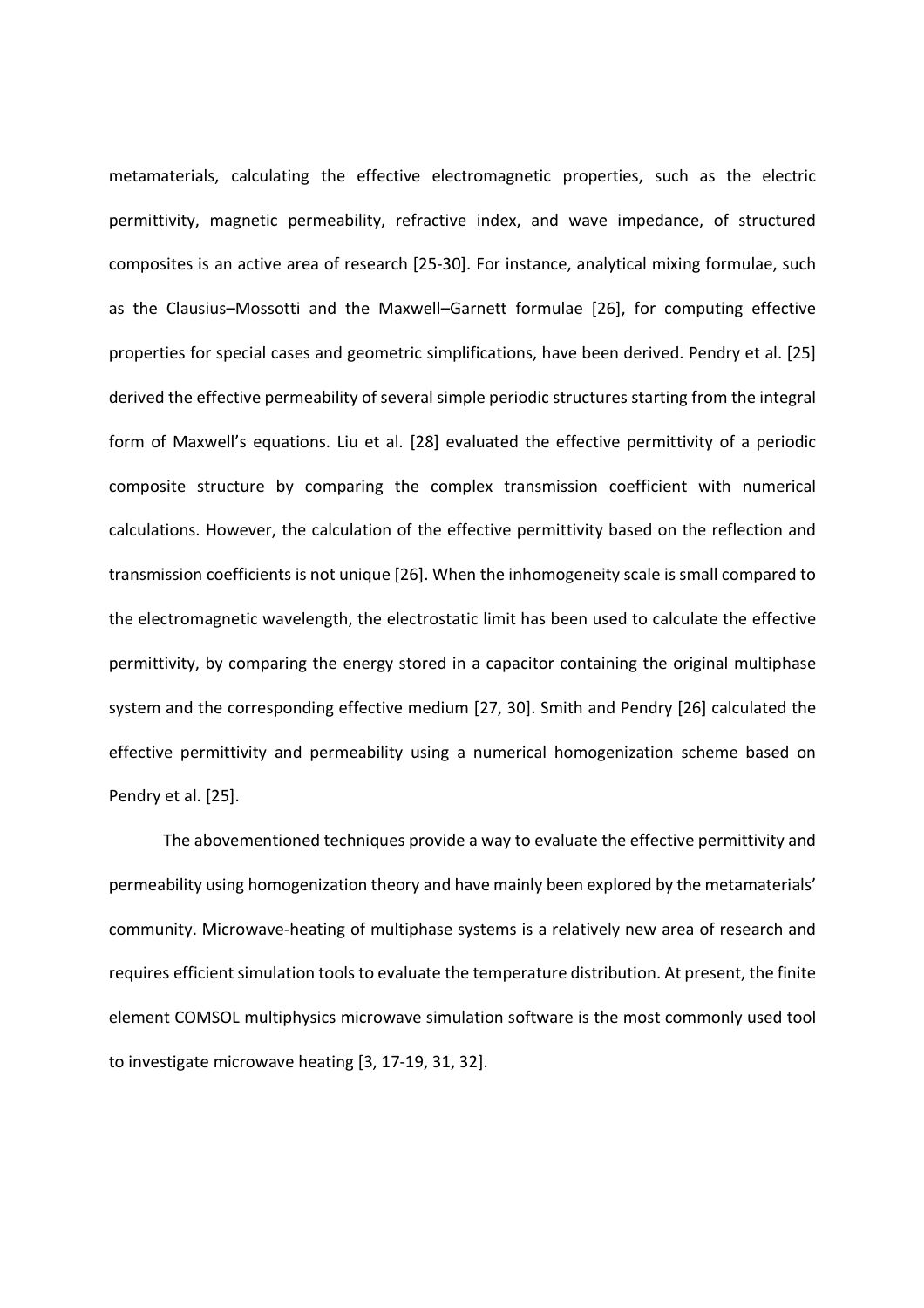metamaterials, calculating the effective electromagnetic properties, such as the electric permittivity, magnetic permeability, refractive index, and wave impedance, of structured composites is an active area of research [25-30]. For instance, analytical mixing formulae, such as the Clausius–Mossotti and the Maxwell–Garnett formulae [26], for computing effective properties for special cases and geometric simplifications, have been derived. Pendry et al. [25] derived the effective permeability of several simple periodic structures starting from the integral form of Maxwell's equations. Liu et al. [28] evaluated the effective permittivity of a periodic composite structure by comparing the complex transmission coefficient with numerical calculations. However, the calculation of the effective permittivity based on the reflection and transmission coefficients is not unique [26]. When the inhomogeneity scale is small compared to the electromagnetic wavelength, the electrostatic limit has been used to calculate the effective permittivity, by comparing the energy stored in a capacitor containing the original multiphase system and the corresponding effective medium [27, 30]. Smith and Pendry [26] calculated the effective permittivity and permeability using a numerical homogenization scheme based on Pendry et al. [25].

The abovementioned techniques provide a way to evaluate the effective permittivity and permeability using homogenization theory and have mainly been explored by the metamaterials' community. Microwave-heating of multiphase systems is a relatively new area of research and requires efficient simulation tools to evaluate the temperature distribution. At present, the finite element COMSOL multiphysics microwave simulation software is the most commonly used tool to investigate microwave heating [3, 17-19, 31, 32].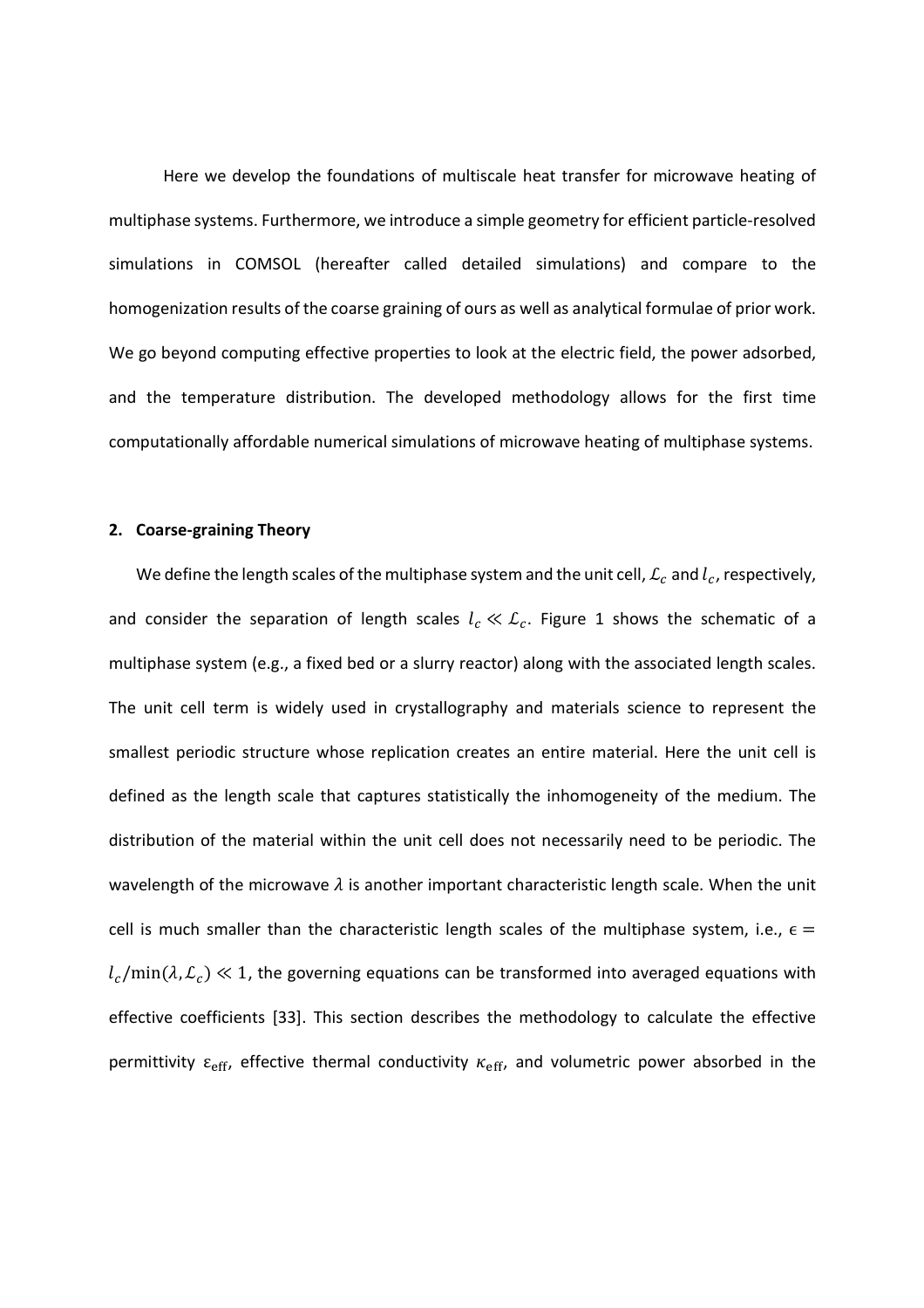Here we develop the foundations of multiscale heat transfer for microwave heating of multiphase systems. Furthermore, we introduce a simple geometry for efficient particle-resolved simulations in COMSOL (hereafter called detailed simulations) and compare to the homogenization results of the coarse graining of ours as well as analytical formulae of prior work. We go beyond computing effective properties to look at the electric field, the power adsorbed, and the temperature distribution. The developed methodology allows for the first time computationally affordable numerical simulations of microwave heating of multiphase systems.

#### **2. Coarse-graining Theory**

We define the length scales of the multiphase system and the unit cell,  $\mathcal{L}_c$  and  $l_c$ , respectively, and consider the separation of length scales  $l_c \ll \mathcal{L}_c$ . Figure 1 shows the schematic of a multiphase system (e.g., a fixed bed or a slurry reactor) along with the associated length scales. The unit cell term is widely used in crystallography and materials science to represent the smallest periodic structure whose replication creates an entire material. Here the unit cell is defined as the length scale that captures statistically the inhomogeneity of the medium. The distribution of the material within the unit cell does not necessarily need to be periodic. The wavelength of the microwave  $\lambda$  is another important characteristic length scale. When the unit cell is much smaller than the characteristic length scales of the multiphase system, i.e.,  $\epsilon$  =  $l_c/\text{min}(\lambda, \mathcal{L}_c) \ll 1$ , the governing equations can be transformed into averaged equations with effective coefficients [33]. This section describes the methodology to calculate the effective permittivity  $\varepsilon_{\rm eff}$ , effective thermal conductivity  $\kappa_{\rm eff}$ , and volumetric power absorbed in the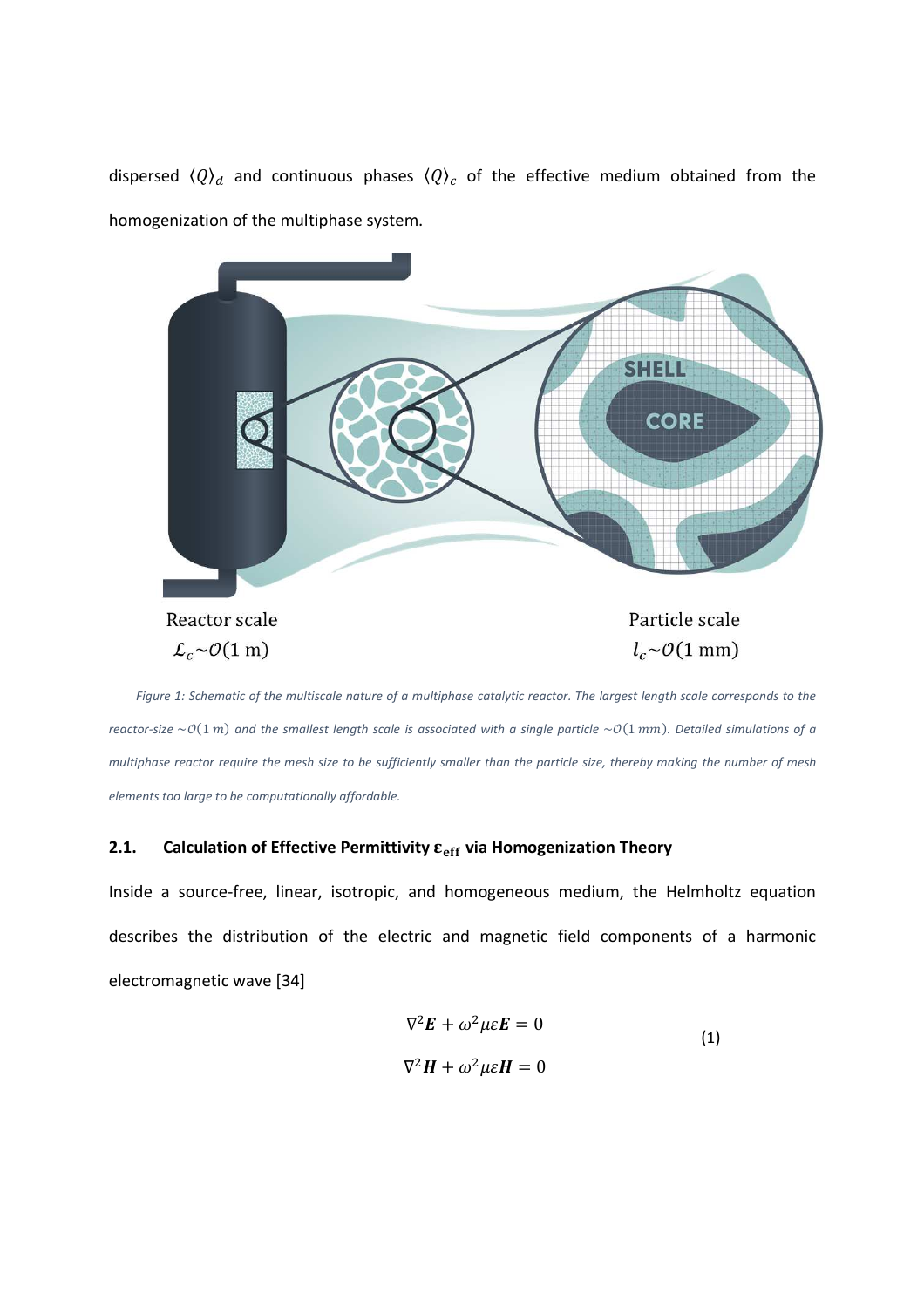dispersed  $\langle Q \rangle_d$  and continuous phases  $\langle Q \rangle_c$  of the effective medium obtained from the homogenization of the multiphase system.



*Figure 1: Schematic of the multiscale nature of a multiphase catalytic reactor. The largest length scale corresponds to the reactor-size*  $\sim$   $O(1 \text{ m})$  and the smallest length scale is associated with a single particle  $\sim$   $O(1 \text{ mm})$ . Detailed simulations of a *multiphase reactor require the mesh size to be sufficiently smaller than the particle size, thereby making the number of mesh elements too large to be computationally affordable.* 

# **2.1. Calculation of Effective Permittivity**  $\varepsilon_{\text{eff}}$  **via Homogenization Theory**

Inside a source-free, linear, isotropic, and homogeneous medium, the Helmholtz equation describes the distribution of the electric and magnetic field components of a harmonic electromagnetic wave [34]

$$
\nabla^2 \mathbf{E} + \omega^2 \mu \varepsilon \mathbf{E} = 0
$$
  

$$
\nabla^2 \mathbf{H} + \omega^2 \mu \varepsilon \mathbf{H} = 0
$$
 (1)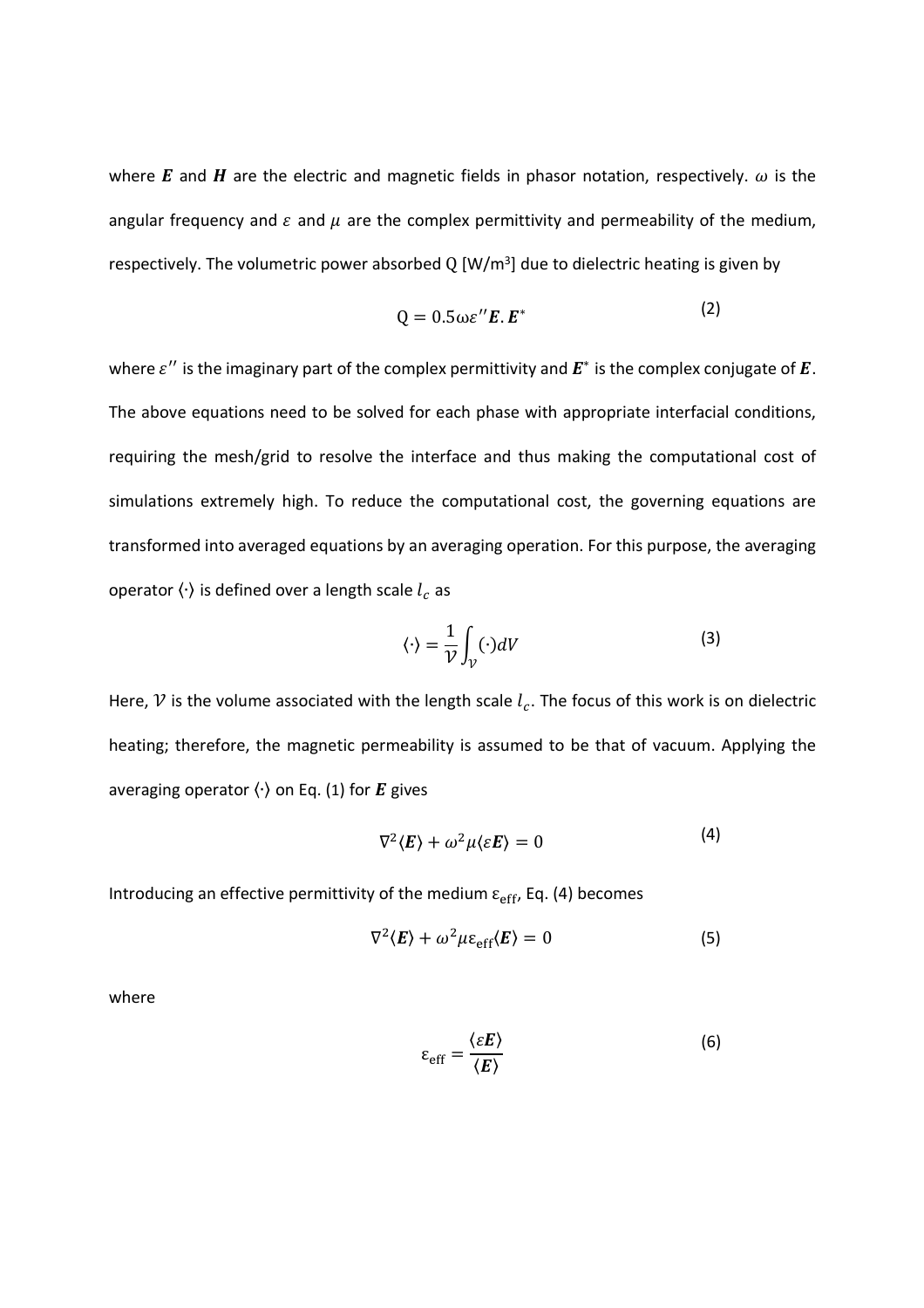where E and H are the electric and magnetic fields in phasor notation, respectively.  $\omega$  is the angular frequency and  $\varepsilon$  and  $\mu$  are the complex permittivity and permeability of the medium, respectively. The volumetric power absorbed  $Q$  [W/m<sup>3</sup>] due to dielectric heating is given by

$$
Q = 0.5 \omega \varepsilon^{\prime\prime} E.E^* \tag{2}
$$

where  $\varepsilon^{\prime\prime}$  is the imaginary part of the complex permittivity and  $\pmb{E}^*$  is the complex conjugate of  $\pmb{E}.$ The above equations need to be solved for each phase with appropriate interfacial conditions, requiring the mesh/grid to resolve the interface and thus making the computational cost of simulations extremely high. To reduce the computational cost, the governing equations are transformed into averaged equations by an averaging operation. For this purpose, the averaging operator  $\langle \cdot \rangle$  is defined over a length scale  $l_c$  as

$$
\langle \cdot \rangle = \frac{1}{\mathcal{V}} \int_{\mathcal{V}} (\cdot) dV \tag{3}
$$

Here,  $\mathcal V$  is the volume associated with the length scale  $l_c$ . The focus of this work is on dielectric heating; therefore, the magnetic permeability is assumed to be that of vacuum. Applying the averaging operator  $\langle \cdot \rangle$  on Eq. (1) for E gives

$$
\nabla^2 \langle E \rangle + \omega^2 \mu \langle \varepsilon E \rangle = 0 \tag{4}
$$

Introducing an effective permittivity of the medium  $\varepsilon_{\rm eff}$ , Eq. (4) becomes

$$
\nabla^2 \langle E \rangle + \omega^2 \mu \varepsilon_{\rm eff} \langle E \rangle = 0 \tag{5}
$$

where

$$
\varepsilon_{\rm eff} = \frac{\langle \varepsilon E \rangle}{\langle E \rangle} \tag{6}
$$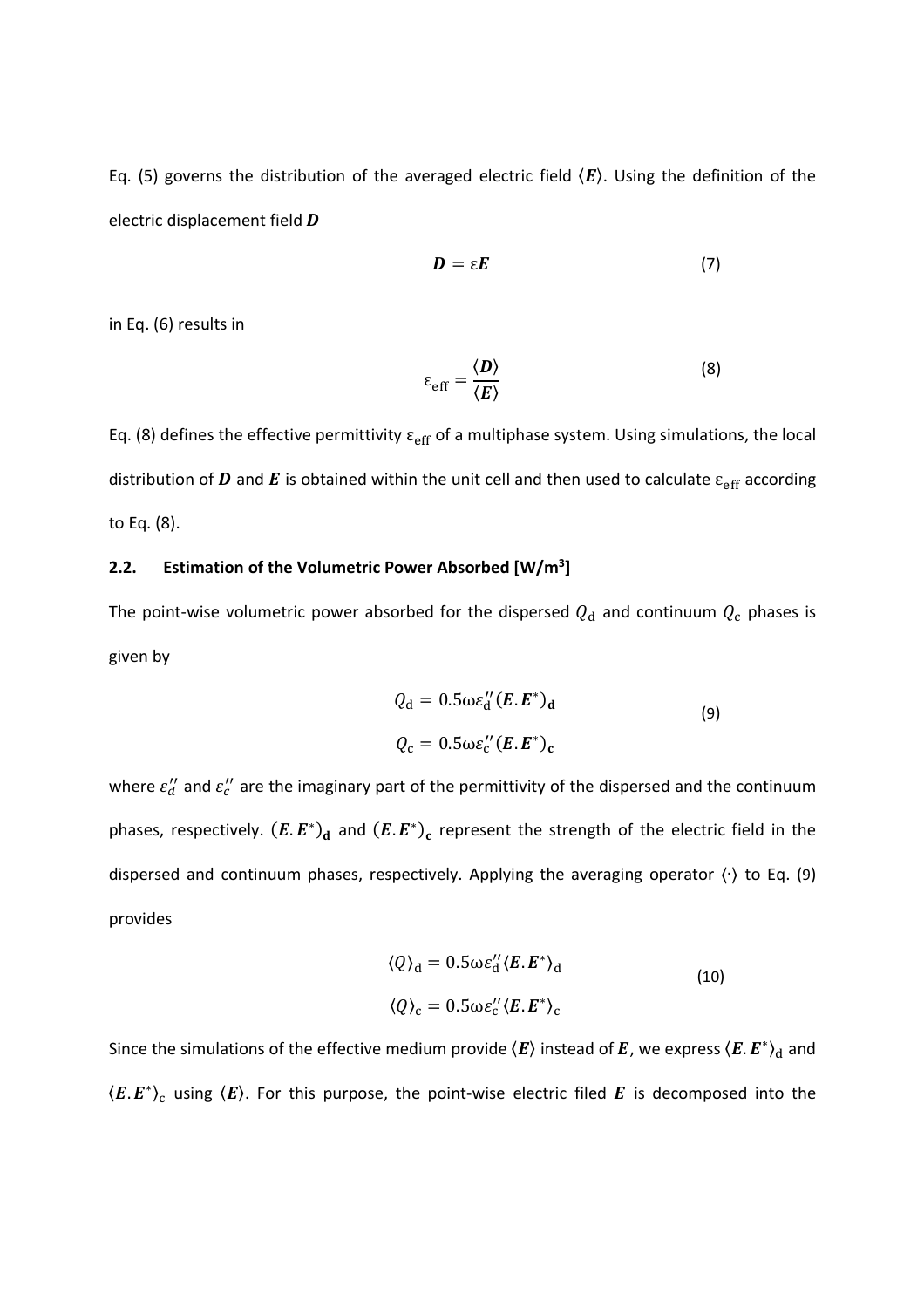Eq. (5) governs the distribution of the averaged electric field  $\langle E \rangle$ . Using the definition of the electric displacement field  $\bm{D}$ 

$$
D = \varepsilon E \tag{7}
$$

in Eq. (6) results in

$$
\varepsilon_{\rm eff} = \frac{\langle \mathbf{D} \rangle}{\langle \mathbf{E} \rangle} \tag{8}
$$

Eq. (8) defines the effective permittivity  $\varepsilon_{\text{eff}}$  of a multiphase system. Using simulations, the local distribution of  $D$  and  $E$  is obtained within the unit cell and then used to calculate  $\varepsilon_{\rm eff}$  according to Eq. (8).

# **2.2. Estimation of the Volumetric Power Absorbed [W/m<sup>3</sup> ]**

The point-wise volumetric power absorbed for the dispersed  $Q_\mathrm{d}$  and continuum  $Q_\mathrm{c}$  phases is given by

$$
Q_{\rm d} = 0.5 \omega \varepsilon_{\rm d}^{\prime\prime} (\boldsymbol{E}.\boldsymbol{E}^*)_{\rm d}
$$
  

$$
Q_{\rm c} = 0.5 \omega \varepsilon_{\rm c}^{\prime\prime} (\boldsymbol{E}.\boldsymbol{E}^*)_{\rm c}
$$
 (9)

where  $\varepsilon''_d$  and  $\varepsilon''_c$  are the imaginary part of the permittivity of the dispersed and the continuum phases, respectively.  $(E.E^*)_d$  and  $(E.E^*)_c$  represent the strength of the electric field in the dispersed and continuum phases, respectively. Applying the averaging operator 〈∙〉 to Eq. (9) provides

$$
\langle Q \rangle_{\rm d} = 0.5 \omega \varepsilon_{\rm d}^{\prime\prime} \langle E. E^* \rangle_{\rm d}
$$
  

$$
\langle Q \rangle_{\rm c} = 0.5 \omega \varepsilon_{\rm c}^{\prime\prime} \langle E. E^* \rangle_{\rm c}
$$
 (10)

Since the simulations of the effective medium provide  $\langle E\rangle$  instead of  $E$ , we express  $\langle E. E^*\rangle_{\rm d}$  and  $\langle E.E^*\rangle_{\rm c}$  using  $\langle E\rangle$ . For this purpose, the point-wise electric filed  $E$  is decomposed into the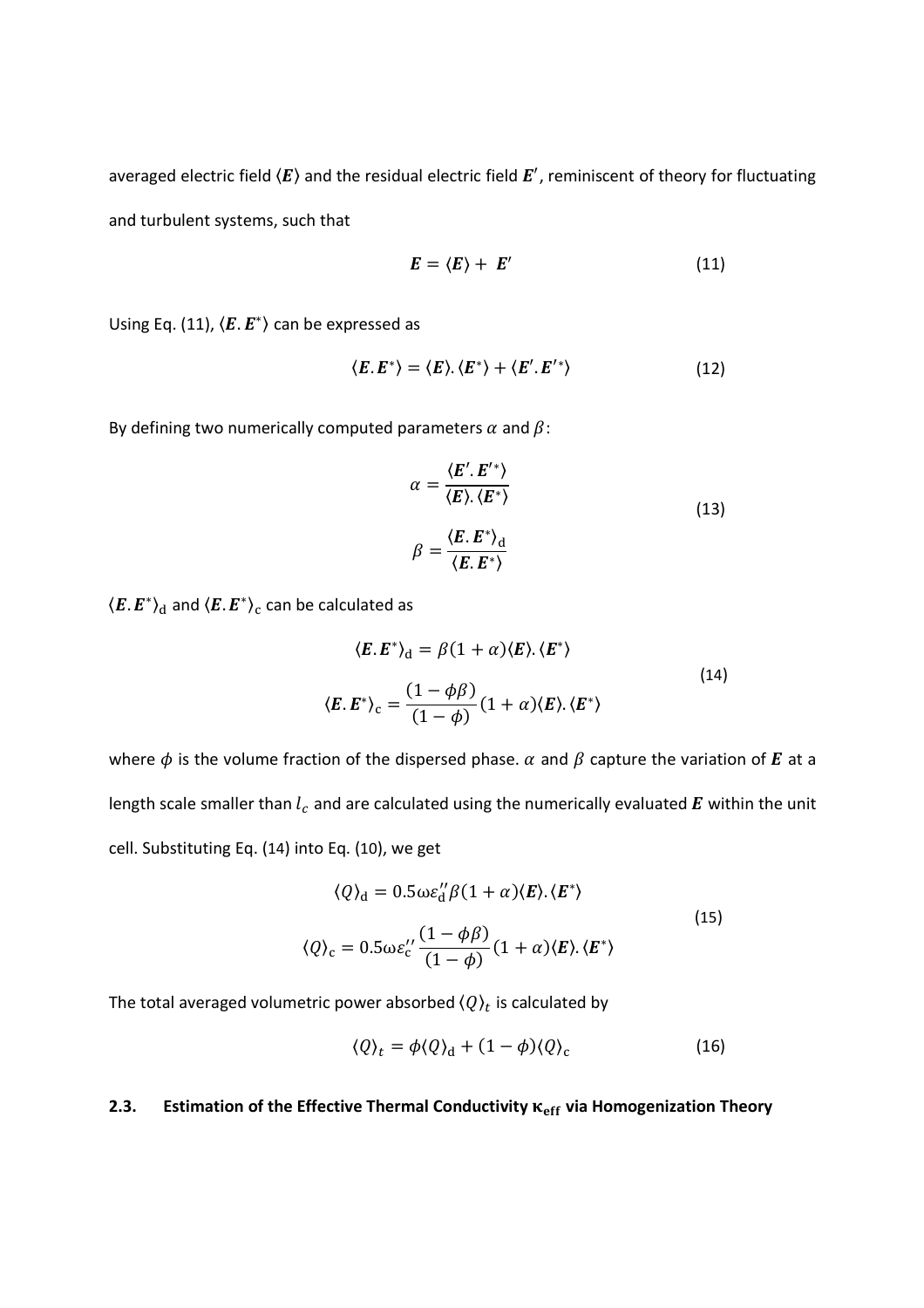averaged electric field  $\langle E\rangle$  and the residual electric field  $E'$ , reminiscent of theory for fluctuating and turbulent systems, such that

$$
E = \langle E \rangle + E' \tag{11}
$$

Using Eq. (11),  $\langle E.E^* \rangle$  can be expressed as

$$
\langle E.E^*\rangle = \langle E \rangle.\langle E^*\rangle + \langle E'.E'^*\rangle \tag{12}
$$

By defining two numerically computed parameters  $\alpha$  and  $\beta$ :

$$
\alpha = \frac{\langle E'. E'^{*} \rangle}{\langle E \rangle . \langle E^{*} \rangle}
$$
  

$$
\beta = \frac{\langle E.E^{*} \rangle_{\text{d}}}{\langle E.E^{*} \rangle}
$$
 (13)

 $\left\langle \bm{E}.\,\bm{E}^{\ast}\right\rangle _{\mathrm{d}}$  and  $\left\langle \bm{E}.\,\bm{E}^{\ast}\right\rangle _{\mathrm{c}}$  can be calculated as

$$
\langle E.E^* \rangle_d = \beta (1 + \alpha) \langle E \rangle \langle E^* \rangle
$$
  

$$
\langle E.E^* \rangle_c = \frac{(1 - \phi \beta)}{(1 - \phi)} (1 + \alpha) \langle E \rangle \langle E^* \rangle
$$
 (14)

where  $\phi$  is the volume fraction of the dispersed phase.  $\alpha$  and  $\beta$  capture the variation of E at a length scale smaller than  $l_c$  and are calculated using the numerically evaluated  $\bm E$  within the unit cell. Substituting Eq. (14) into Eq. (10), we get

$$
\langle Q \rangle_{\mathbf{d}} = 0.5 \omega \varepsilon_{\mathbf{d}}^{\prime\prime} \beta (1 + \alpha) \langle E \rangle. \langle E^* \rangle
$$
  

$$
\langle Q \rangle_{\mathbf{c}} = 0.5 \omega \varepsilon_{\mathbf{c}}^{\prime\prime} \frac{(1 - \phi \beta)}{(1 - \phi)} (1 + \alpha) \langle E \rangle. \langle E^* \rangle
$$
 (15)

The total averaged volumetric power absorbed  $\langle Q \rangle_t$  is calculated by

$$
\langle Q \rangle_t = \phi \langle Q \rangle_d + (1 - \phi) \langle Q \rangle_c \tag{16}
$$

# **2.3. Estimation of the Effective Thermal Conductivity**  $\kappa_{eff}$  **via Homogenization Theory**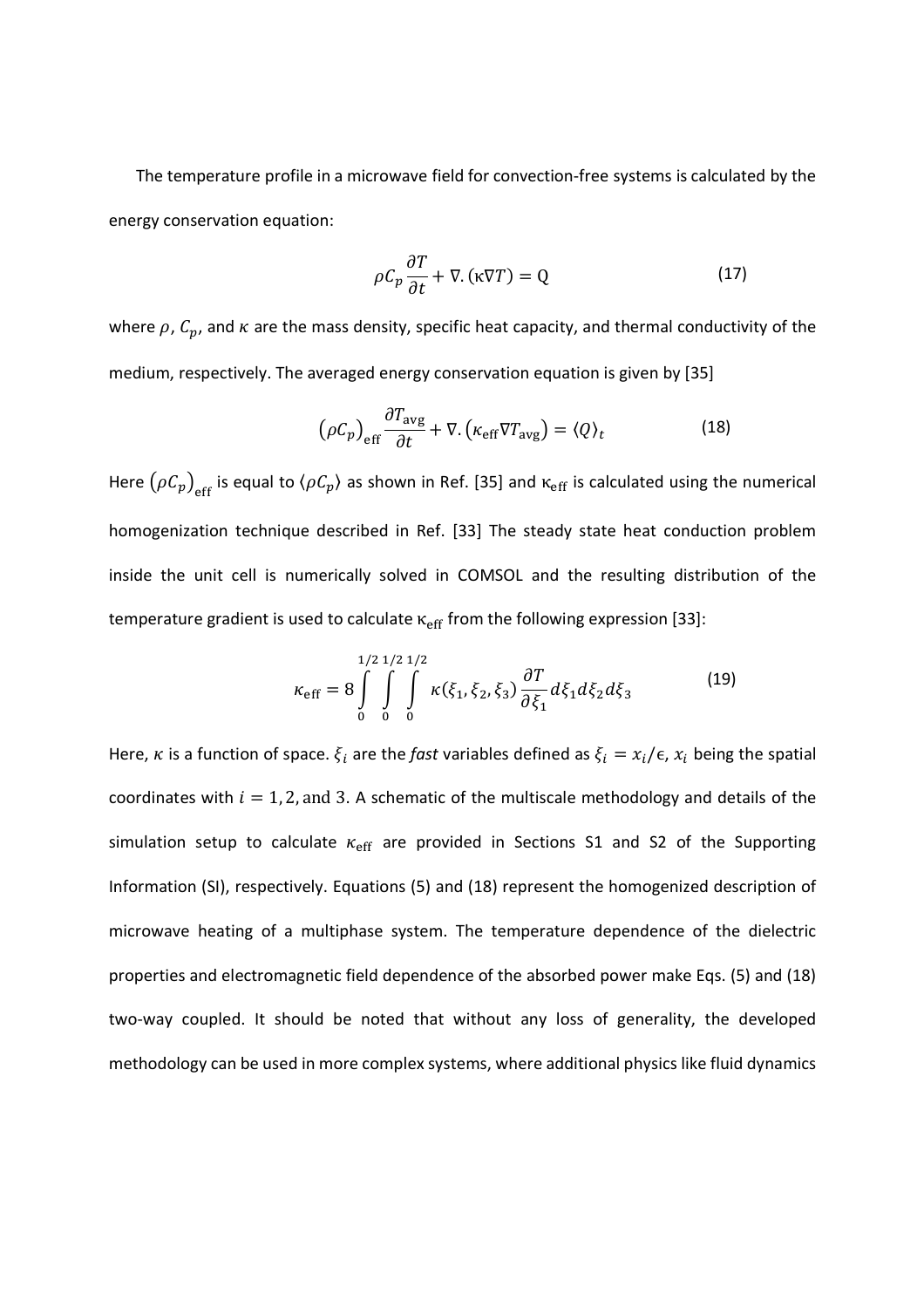The temperature profile in a microwave field for convection-free systems is calculated by the energy conservation equation:

$$
\rho C_p \frac{\partial T}{\partial t} + \nabla. (\kappa \nabla T) = Q \tag{17}
$$

where  $\rho$ ,  $C_p$ , and  $\kappa$  are the mass density, specific heat capacity, and thermal conductivity of the medium, respectively. The averaged energy conservation equation is given by [35]

$$
\left(\rho C_p\right)_{\text{eff}} \frac{\partial T_{\text{avg}}}{\partial t} + \nabla \left(\kappa_{\text{eff}} \nabla T_{\text{avg}}\right) = \left\langle Q \right\rangle_t \tag{18}
$$

Here  $(\rho C_p)_{\rm eff}$  is equal to  $\langle \rho C_p \rangle$  as shown in Ref. [35] and  $\kappa_{\rm eff}$  is calculated using the numerical homogenization technique described in Ref. [33] The steady state heat conduction problem inside the unit cell is numerically solved in COMSOL and the resulting distribution of the temperature gradient is used to calculate  $\kappa_{\text{eff}}$  from the following expression [33]:

$$
\kappa_{\rm eff} = 8 \int\limits_{0}^{1/2} \int\limits_{0}^{1/2} \int\limits_{0}^{1/2} \kappa(\xi_1, \xi_2, \xi_3) \frac{\partial T}{\partial \xi_1} d\xi_1 d\xi_2 d\xi_3 \tag{19}
$$

Here,  $\kappa$  is a function of space.  $\xi_i$  are the *fast* variables defined as  $\xi_i = x_i/\epsilon$ ,  $x_i$  being the spatial coordinates with  $i = 1, 2$ , and 3. A schematic of the multiscale methodology and details of the simulation setup to calculate  $\kappa_{\text{eff}}$  are provided in Sections S1 and S2 of the Supporting Information (SI), respectively. Equations (5) and (18) represent the homogenized description of microwave heating of a multiphase system. The temperature dependence of the dielectric properties and electromagnetic field dependence of the absorbed power make Eqs. (5) and (18) two-way coupled. It should be noted that without any loss of generality, the developed methodology can be used in more complex systems, where additional physics like fluid dynamics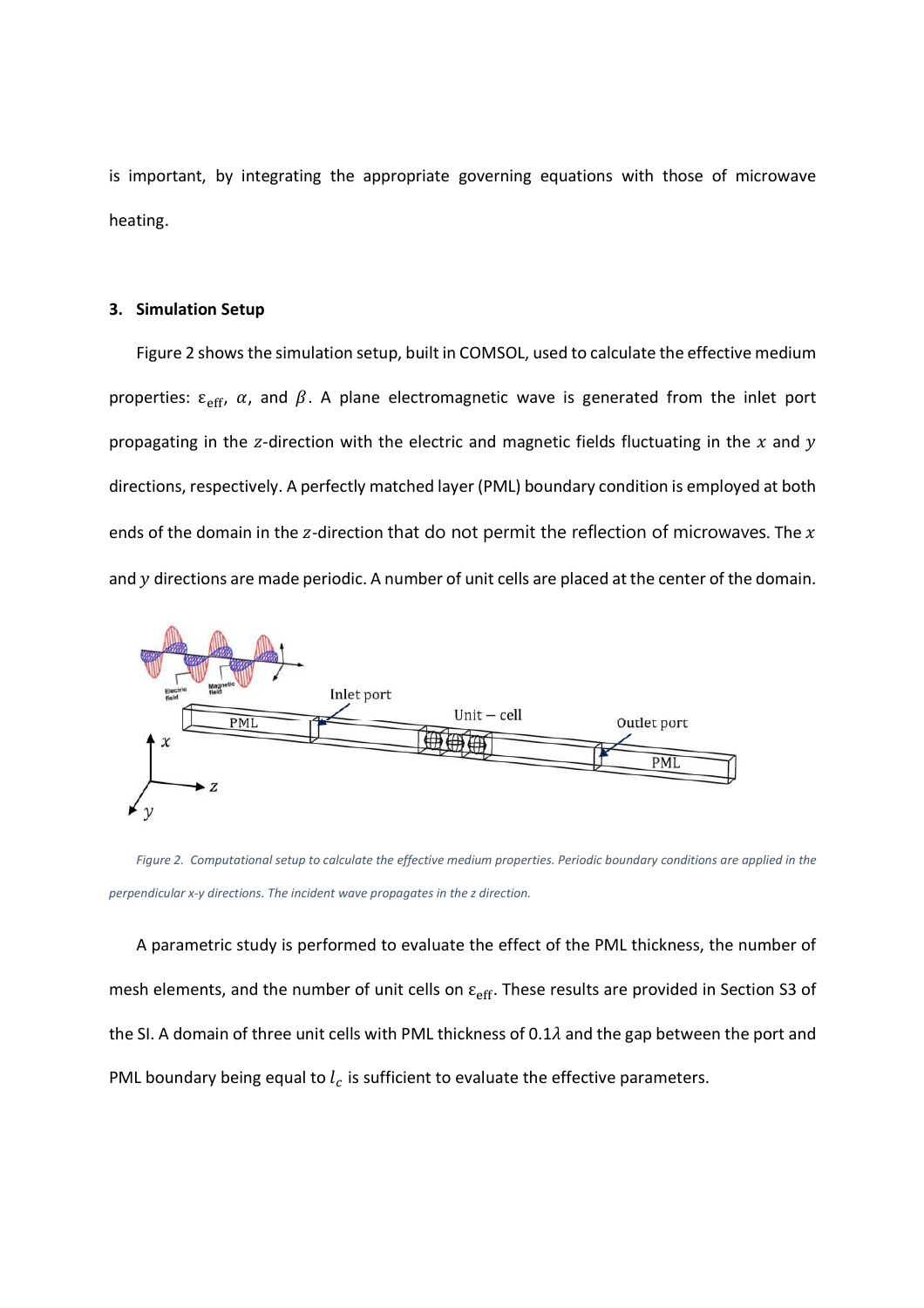is important, by integrating the appropriate governing equations with those of microwave heating.

#### **3. Simulation Setup**

Figure 2 shows the simulation setup, built in COMSOL, used to calculate the effective medium properties:  $\varepsilon_{\rm eff}$ ,  $\alpha$ , and  $\beta$ . A plane electromagnetic wave is generated from the inlet port propagating in the z-direction with the electric and magnetic fields fluctuating in the  $x$  and  $y$ directions, respectively. A perfectly matched layer (PML) boundary condition is employed at both ends of the domain in the z-direction that do not permit the reflection of microwaves. The  $x$ and  $y$  directions are made periodic. A number of unit cells are placed at the center of the domain.



*Figure 2. Computational setup to calculate the effective medium properties. Periodic boundary conditions are applied in the perpendicular x-y directions. The incident wave propagates in the z direction.* 

A parametric study is performed to evaluate the effect of the PML thickness, the number of mesh elements, and the number of unit cells on  $\varepsilon_{\rm eff}$ . These results are provided in Section S3 of the SI. A domain of three unit cells with PML thickness of 0.1 $\lambda$  and the gap between the port and PML boundary being equal to  $l_c$  is sufficient to evaluate the effective parameters.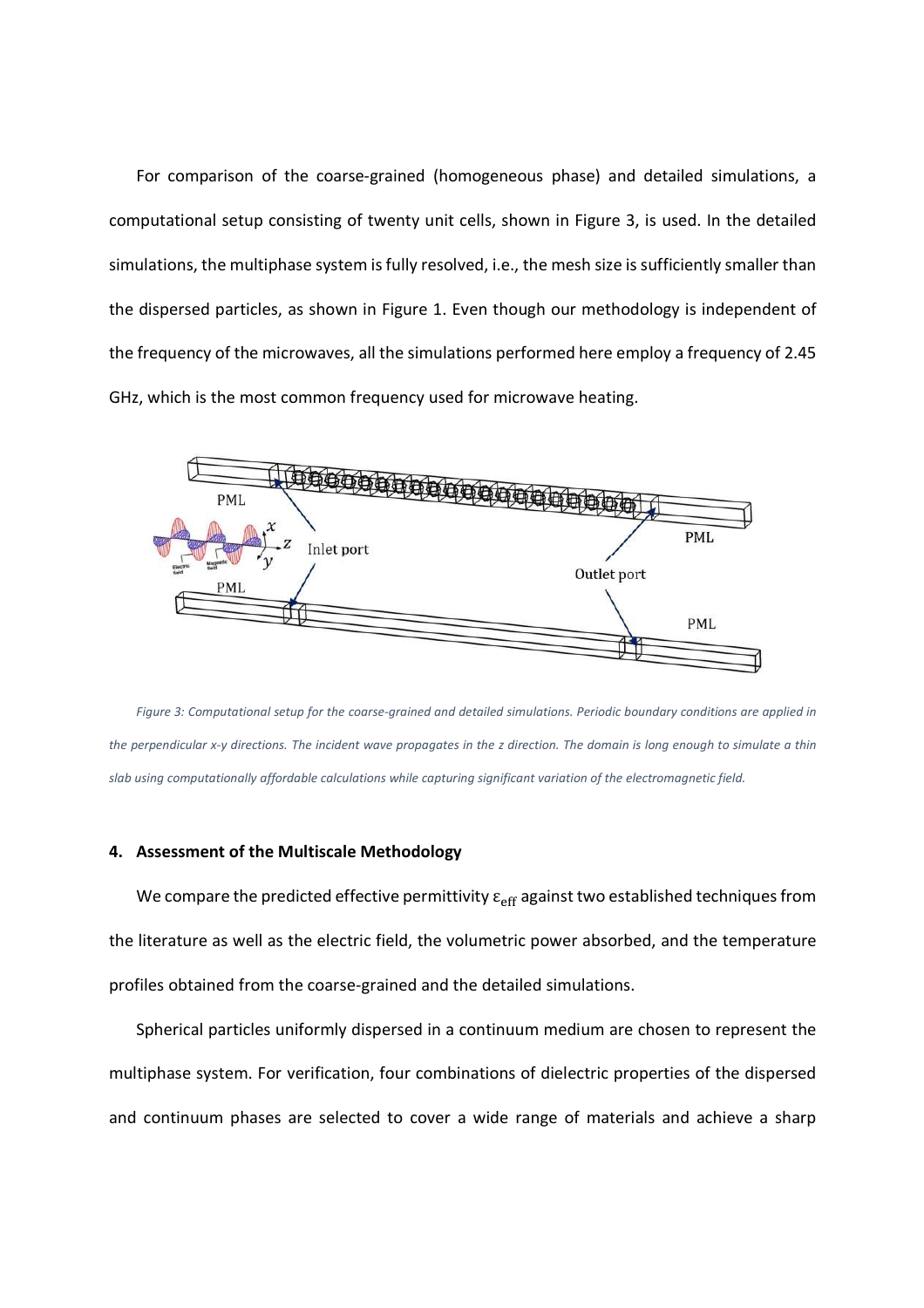For comparison of the coarse-grained (homogeneous phase) and detailed simulations, a computational setup consisting of twenty unit cells, shown in Figure 3, is used. In the detailed simulations, the multiphase system is fully resolved, i.e., the mesh size is sufficiently smaller than the dispersed particles, as shown in Figure 1. Even though our methodology is independent of the frequency of the microwaves, all the simulations performed here employ a frequency of 2.45 GHz, which is the most common frequency used for microwave heating.



*Figure 3: Computational setup for the coarse-grained and detailed simulations. Periodic boundary conditions are applied in the perpendicular x-y directions. The incident wave propagates in the z direction. The domain is long enough to simulate a thin slab using computationally affordable calculations while capturing significant variation of the electromagnetic field.* 

#### **4. Assessment of the Multiscale Methodology**

We compare the predicted effective permittivity  $\varepsilon_{\text{eff}}$  against two established techniques from the literature as well as the electric field, the volumetric power absorbed, and the temperature profiles obtained from the coarse-grained and the detailed simulations.

Spherical particles uniformly dispersed in a continuum medium are chosen to represent the multiphase system. For verification, four combinations of dielectric properties of the dispersed and continuum phases are selected to cover a wide range of materials and achieve a sharp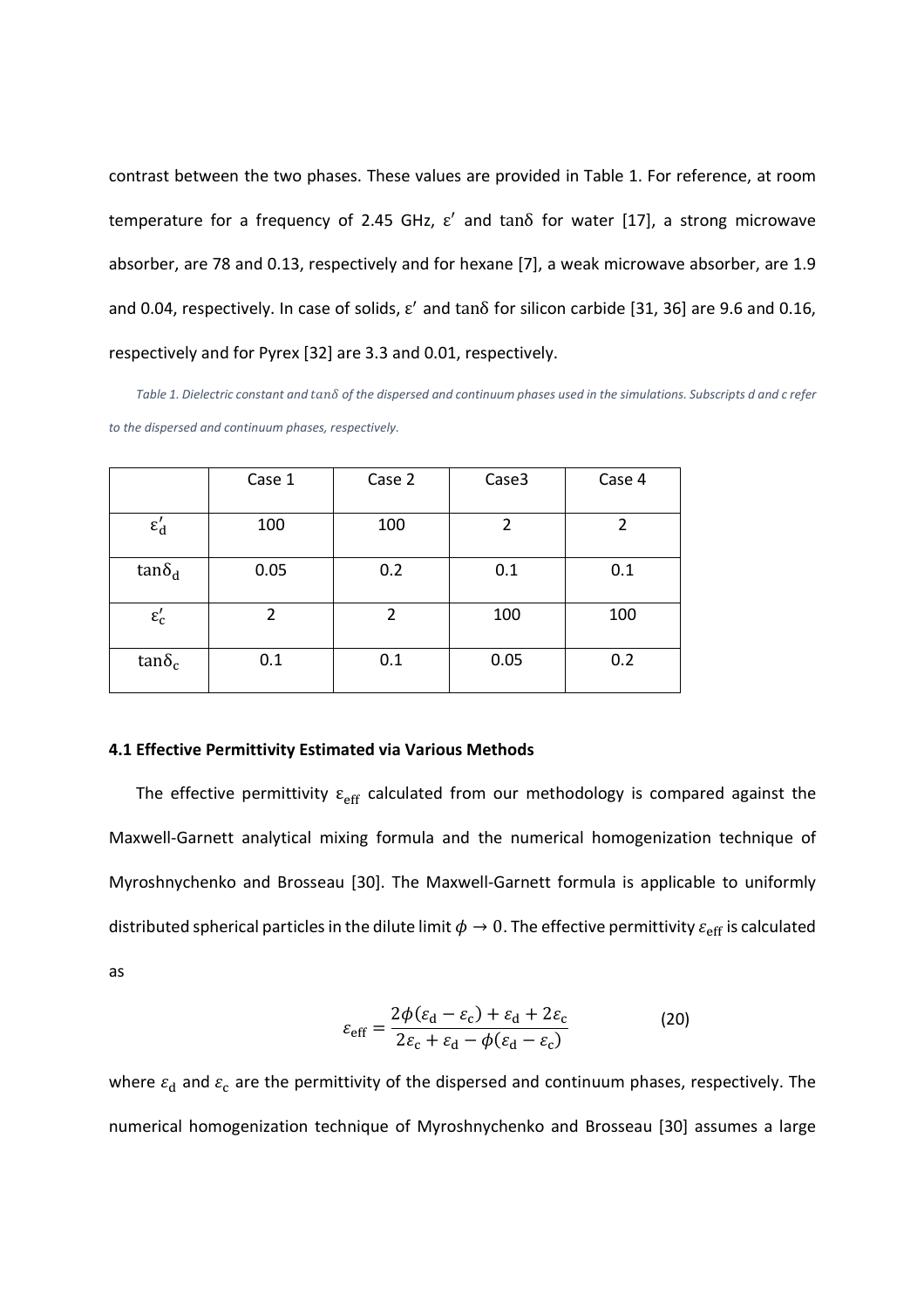contrast between the two phases. These values are provided in Table 1. For reference, at room temperature for a frequency of 2.45 GHz,  $\varepsilon'$  and tan $\delta$  for water [17], a strong microwave absorber, are 78 and 0.13, respectively and for hexane [7], a weak microwave absorber, are 1.9 and 0.04, respectively. In case of solids,  $\varepsilon'$  and tan $\delta$  for silicon carbide [31, 36] are 9.6 and 0.16, respectively and for Pyrex [32] are 3.3 and 0.01, respectively.

*Table 1. Dielectric constant and*  $tan\delta$  *of the dispersed and continuum phases used in the simulations. Subscripts d and c refer to the dispersed and continuum phases, respectively.*

|                 | Case 1 | Case 2 | Case3 | Case 4 |
|-----------------|--------|--------|-------|--------|
| $\epsilon_d'$   | 100    | 100    | 2     | 2      |
| $tan\delta_d$   | 0.05   | 0.2    | 0.1   | 0.1    |
| $\epsilon'_{c}$ | 2      | 2      | 100   | 100    |
| $tan\delta_c$   | 0.1    | 0.1    | 0.05  | 0.2    |

#### **4.1 Effective Permittivity Estimated via Various Methods**

The effective permittivity  $\varepsilon_{\rm eff}$  calculated from our methodology is compared against the Maxwell-Garnett analytical mixing formula and the numerical homogenization technique of Myroshnychenko and Brosseau [30]. The Maxwell-Garnett formula is applicable to uniformly distributed spherical particles in the dilute limit  $\phi \to 0$ . The effective permittivity  $\varepsilon_{\rm eff}$  is calculated as

$$
\varepsilon_{\rm eff} = \frac{2\phi(\varepsilon_{\rm d} - \varepsilon_{\rm c}) + \varepsilon_{\rm d} + 2\varepsilon_{\rm c}}{2\varepsilon_{\rm c} + \varepsilon_{\rm d} - \phi(\varepsilon_{\rm d} - \varepsilon_{\rm c})}
$$
(20)

where  $\varepsilon_{\rm d}$  and  $\varepsilon_{\rm c}$  are the permittivity of the dispersed and continuum phases, respectively. The numerical homogenization technique of Myroshnychenko and Brosseau [30] assumes a large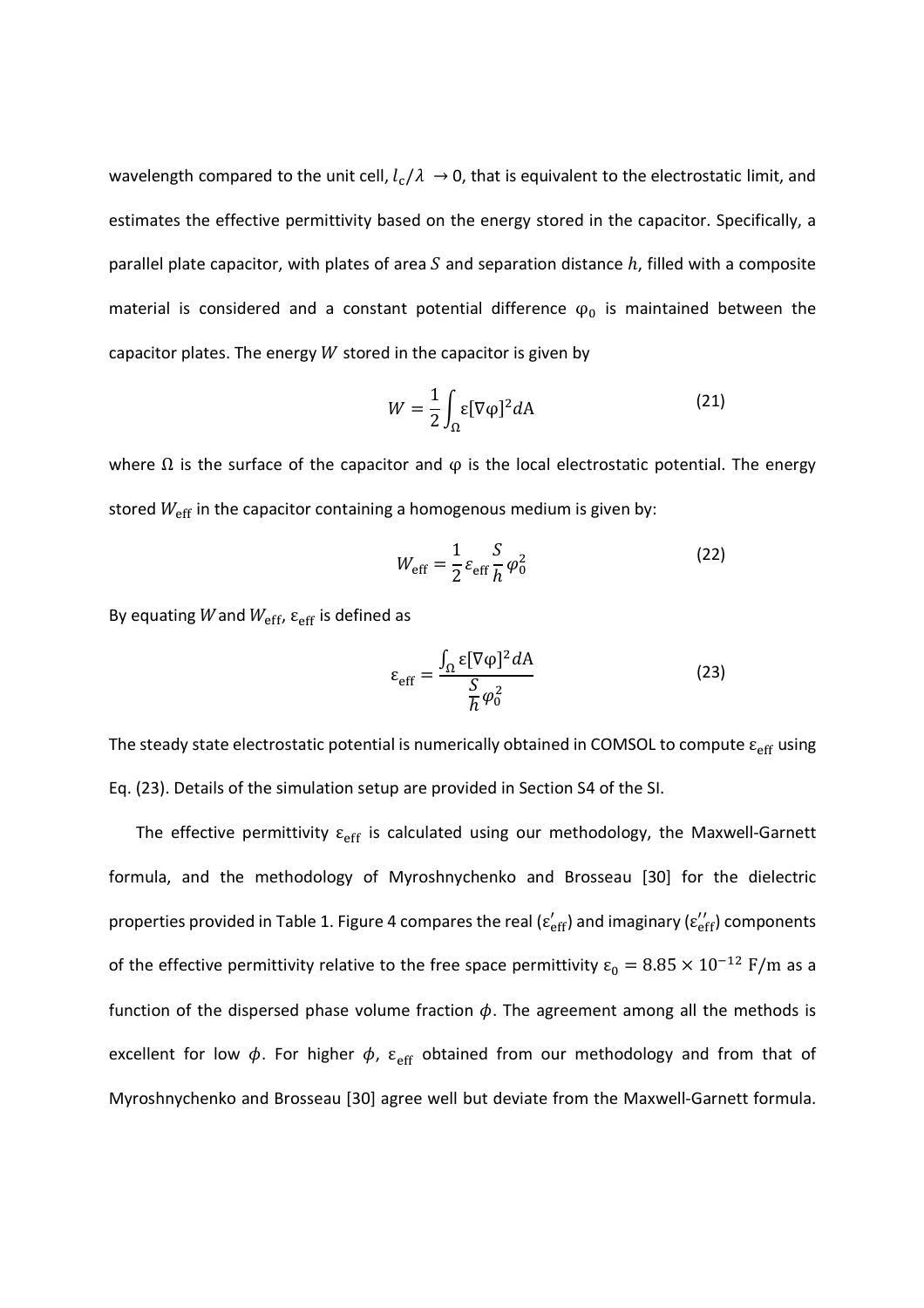wavelength compared to the unit cell,  $l_c/\lambda \rightarrow 0$ , that is equivalent to the electrostatic limit, and estimates the effective permittivity based on the energy stored in the capacitor. Specifically, a parallel plate capacitor, with plates of area  $S$  and separation distance  $h$ , filled with a composite material is considered and a constant potential difference  $\varphi_0$  is maintained between the capacitor plates. The energy  $W$  stored in the capacitor is given by

$$
W = \frac{1}{2} \int_{\Omega} \varepsilon [\nabla \varphi]^2 dA \tag{21}
$$

where  $\Omega$  is the surface of the capacitor and  $\varphi$  is the local electrostatic potential. The energy stored  $W_{\text{eff}}$  in the capacitor containing a homogenous medium is given by:

$$
W_{\rm eff} = \frac{1}{2} \varepsilon_{\rm eff} \frac{S}{h} \varphi_0^2 \tag{22}
$$

By equating W and  $W_{\text{eff}}$ ,  $\varepsilon_{\text{eff}}$  is defined as

$$
\varepsilon_{\rm eff} = \frac{\int_{\Omega} \varepsilon [\nabla \varphi]^2 dA}{\frac{S}{\hbar} \varphi_0^2}
$$
 (23)

The steady state electrostatic potential is numerically obtained in COMSOL to compute  $\varepsilon_{\rm eff}$  using Eq. (23). Details of the simulation setup are provided in Section S4 of the SI.

The effective permittivity  $\varepsilon_{\rm eff}$  is calculated using our methodology, the Maxwell-Garnett formula, and the methodology of Myroshnychenko and Brosseau [30] for the dielectric properties provided in Table 1. Figure 4 compares the real ( $\varepsilon_{\text{eff}}'$ ) and imaginary ( $\varepsilon_{\text{eff}}''$ ) components of the effective permittivity relative to the free space permittivity  $\varepsilon_0 = 8.85 \times 10^{-12}$  F/m as a function of the dispersed phase volume fraction  $\phi$ . The agreement among all the methods is excellent for low  $\phi$ . For higher  $\phi$ ,  $\varepsilon_{\text{eff}}$  obtained from our methodology and from that of Myroshnychenko and Brosseau [30] agree well but deviate from the Maxwell-Garnett formula.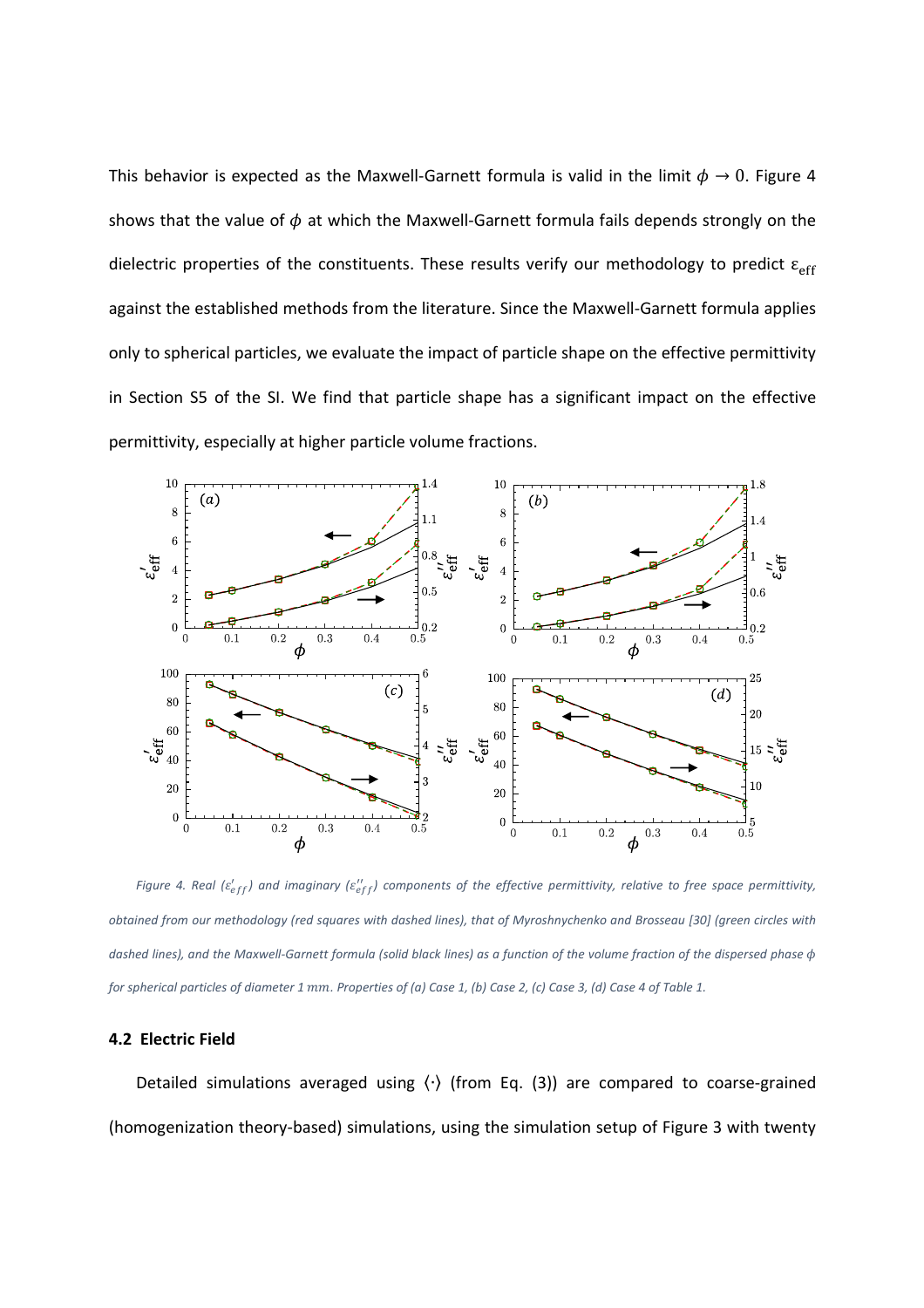This behavior is expected as the Maxwell-Garnett formula is valid in the limit  $\phi \to 0$ . Figure 4 shows that the value of  $\phi$  at which the Maxwell-Garnett formula fails depends strongly on the dielectric properties of the constituents. These results verify our methodology to predict  $\varepsilon_{\rm eff}$ against the established methods from the literature. Since the Maxwell-Garnett formula applies only to spherical particles, we evaluate the impact of particle shape on the effective permittivity in Section S5 of the SI. We find that particle shape has a significant impact on the effective permittivity, especially at higher particle volume fractions.



Figure 4. Real ( $\varepsilon_{eff}'$ ) and imaginary ( $\varepsilon_{eff}''$ ) components of the effective permittivity, relative to free space permittivity, *obtained from our methodology (red squares with dashed lines), that of Myroshnychenko and Brosseau [30] (green circles with dashed lines), and the Maxwell-Garnett formula (solid black lines) as a function of the volume fraction of the dispersed phase* < *for spherical particles of diameter 1 mm. Properties of (a) Case 1, (b) Case 2, (c) Case 3, (d) Case 4 of Table 1.* 

### **4.2 Electric Field**

Detailed simulations averaged using 〈∙〉 (from Eq. (3)) are compared to coarse-grained (homogenization theory-based) simulations, using the simulation setup of Figure 3 with twenty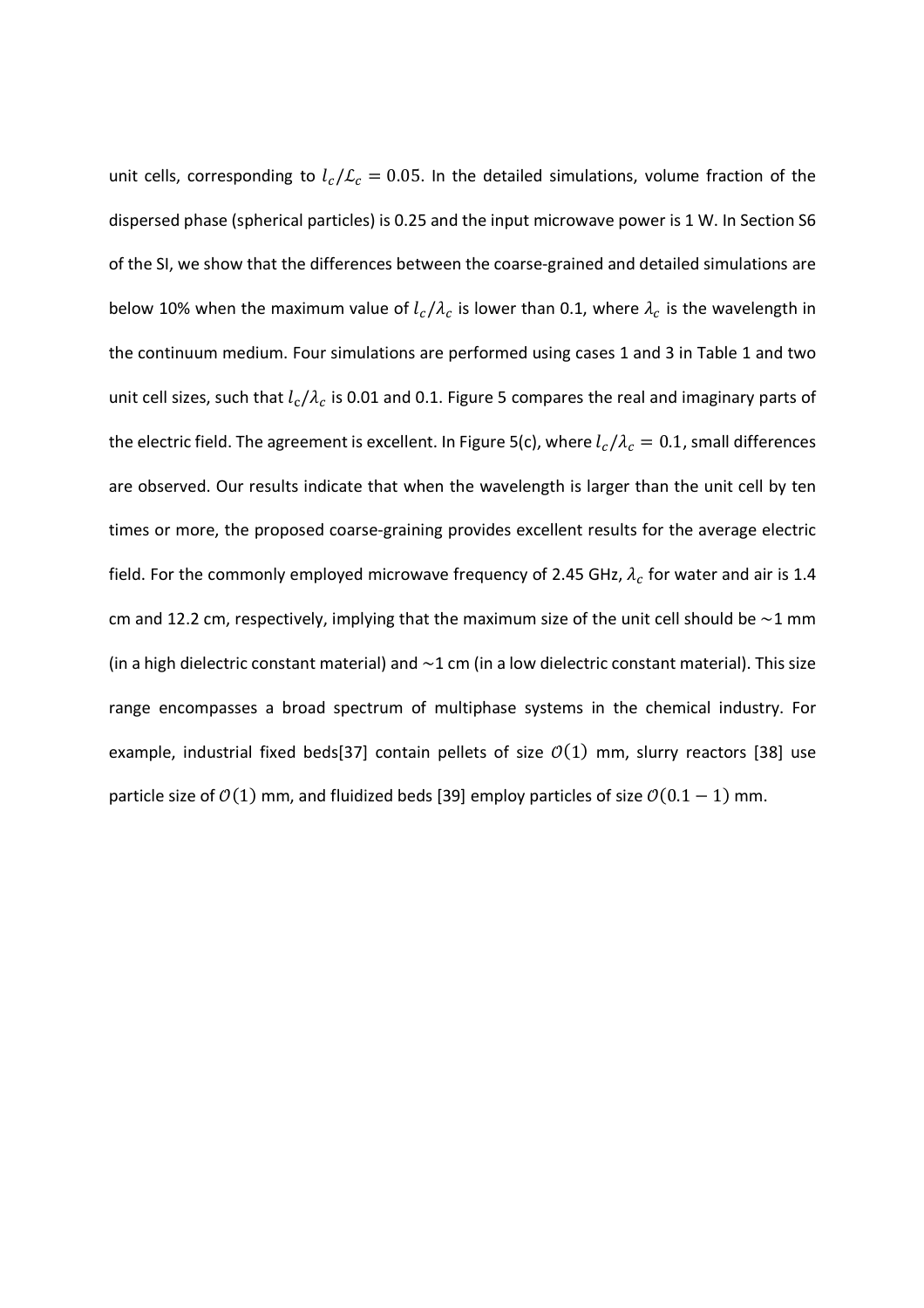unit cells, corresponding to  $l_c/L_c = 0.05$ . In the detailed simulations, volume fraction of the dispersed phase (spherical particles) is 0.25 and the input microwave power is 1 W. In Section S6 of the SI, we show that the differences between the coarse-grained and detailed simulations are below 10% when the maximum value of  $l_c/\lambda_c$  is lower than 0.1, where  $\lambda_c$  is the wavelength in the continuum medium. Four simulations are performed using cases 1 and 3 in Table 1 and two unit cell sizes, such that  $l_c/\lambda_c$  is 0.01 and 0.1. Figure 5 compares the real and imaginary parts of the electric field. The agreement is excellent. In Figure 5(c), where  $l_c/\lambda_c=0.1$ , small differences are observed. Our results indicate that when the wavelength is larger than the unit cell by ten times or more, the proposed coarse-graining provides excellent results for the average electric field. For the commonly employed microwave frequency of 2.45 GHz,  $\lambda_c$  for water and air is 1.4 cm and 12.2 cm, respectively, implying that the maximum size of the unit cell should be  $\sim$ 1 mm (in a high dielectric constant material) and  $\sim$ 1 cm (in a low dielectric constant material). This size range encompasses a broad spectrum of multiphase systems in the chemical industry. For example, industrial fixed beds[37] contain pellets of size  $O(1)$  mm, slurry reactors [38] use particle size of  $\mathcal{O}(1)$  mm, and fluidized beds [39] employ particles of size  $\mathcal{O}(0.1 - 1)$  mm.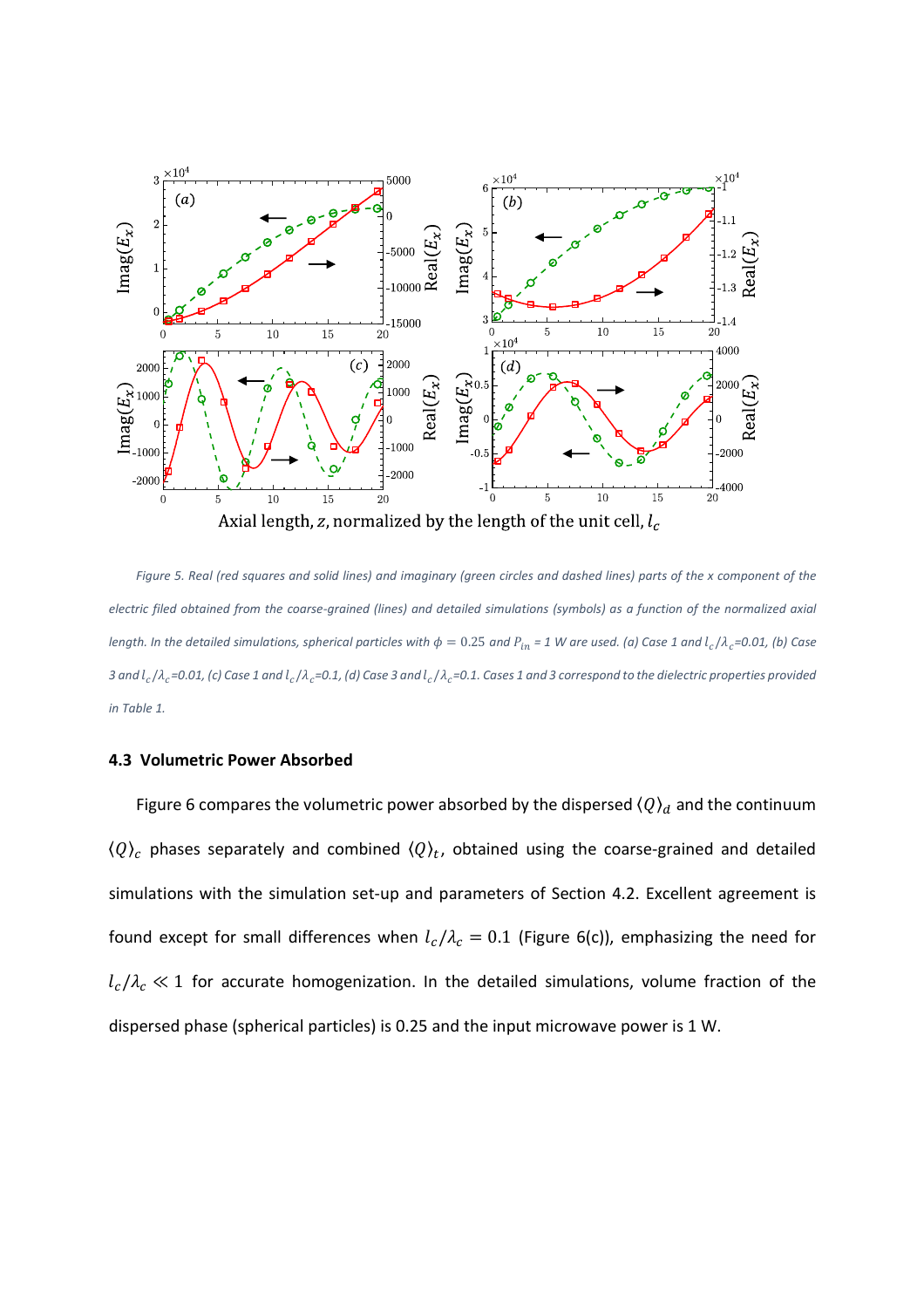

*Figure 5. Real (red squares and solid lines) and imaginary (green circles and dashed lines) parts of the x component of the electric filed obtained from the coarse-grained (lines) and detailed simulations (symbols) as a function of the normalized axial length. In the detailed simulations, spherical particles with*  $\phi = 0.25$  *and*  $P_{in}$  *= 1 W are used. (a) Case 1 and*  $l_c/\lambda_c$ *=0.01, (b) Case* 3 and  $l_c/\lambda_c$ =0.01, (c) Case 1 and  $l_c/\lambda_c$ =0.1, (d) Case 3 and  $l_c/\lambda_c$ =0.1. Cases 1 and 3 correspond to the dielectric properties provided *in Table 1.* 

# **4.3 Volumetric Power Absorbed**

Figure 6 compares the volumetric power absorbed by the dispersed  $\langle Q \rangle_d$  and the continuum  $\langle Q \rangle_c$  phases separately and combined  $\langle Q \rangle_t$ , obtained using the coarse-grained and detailed simulations with the simulation set-up and parameters of Section 4.2. Excellent agreement is found except for small differences when  $l_c/\lambda_c=0.1$  (Figure 6(c)), emphasizing the need for  $l_c/\lambda_c \ll 1$  for accurate homogenization. In the detailed simulations, volume fraction of the dispersed phase (spherical particles) is 0.25 and the input microwave power is 1 W.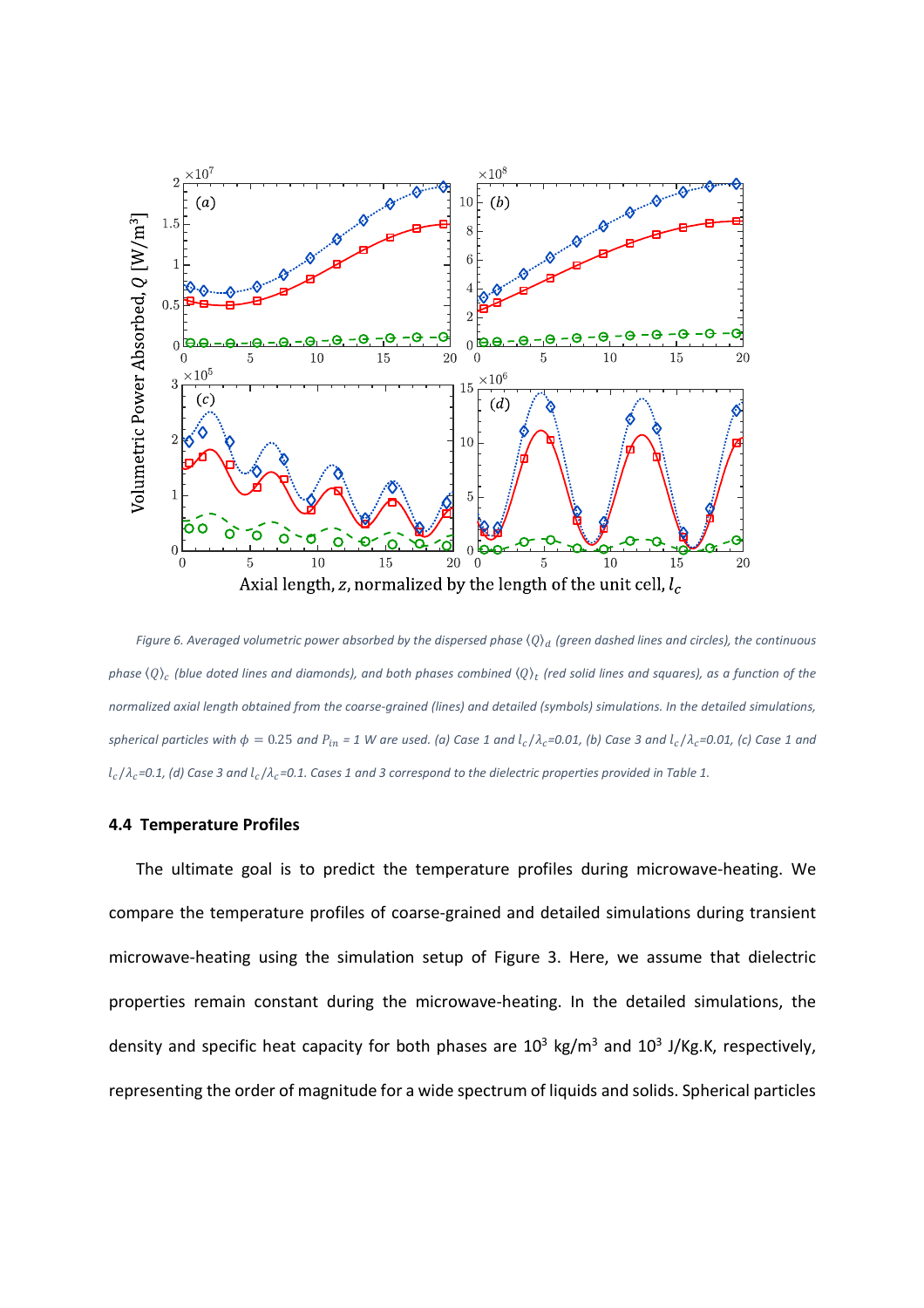

*Figure 6. Averaged volumetric power absorbed by the dispersed phase*  $\langle Q \rangle_d$  (green dashed lines and circles), the continuous phase  $\langle Q \rangle_c$  (blue doted lines and diamonds), and both phases combined  $\langle Q \rangle_t$  (red solid lines and squares), as a function of the *normalized axial length obtained from the coarse-grained (lines) and detailed (symbols) simulations. In the detailed simulations,*   $spherical$  particles with  $\phi = 0.25$  and  $P_{in}$  = 1 W are used. (a) Case 1 and  $l_c/\lambda_c$ =0.01, (b) Case 3 and  $l_c/\lambda_c$ =0.01, (c) Case 1 and  $l_c/\lambda_c$ =0.1, (d) Case 3 and  $l_c/\lambda_c$ =0.1. Cases 1 and 3 correspond to the dielectric properties provided in Table 1.

## **4.4 Temperature Profiles**

The ultimate goal is to predict the temperature profiles during microwave-heating. We compare the temperature profiles of coarse-grained and detailed simulations during transient microwave-heating using the simulation setup of Figure 3. Here, we assume that dielectric properties remain constant during the microwave-heating. In the detailed simulations, the density and specific heat capacity for both phases are  $10^3$  kg/m<sup>3</sup> and  $10^3$  J/Kg.K, respectively, representing the order of magnitude for a wide spectrum of liquids and solids. Spherical particles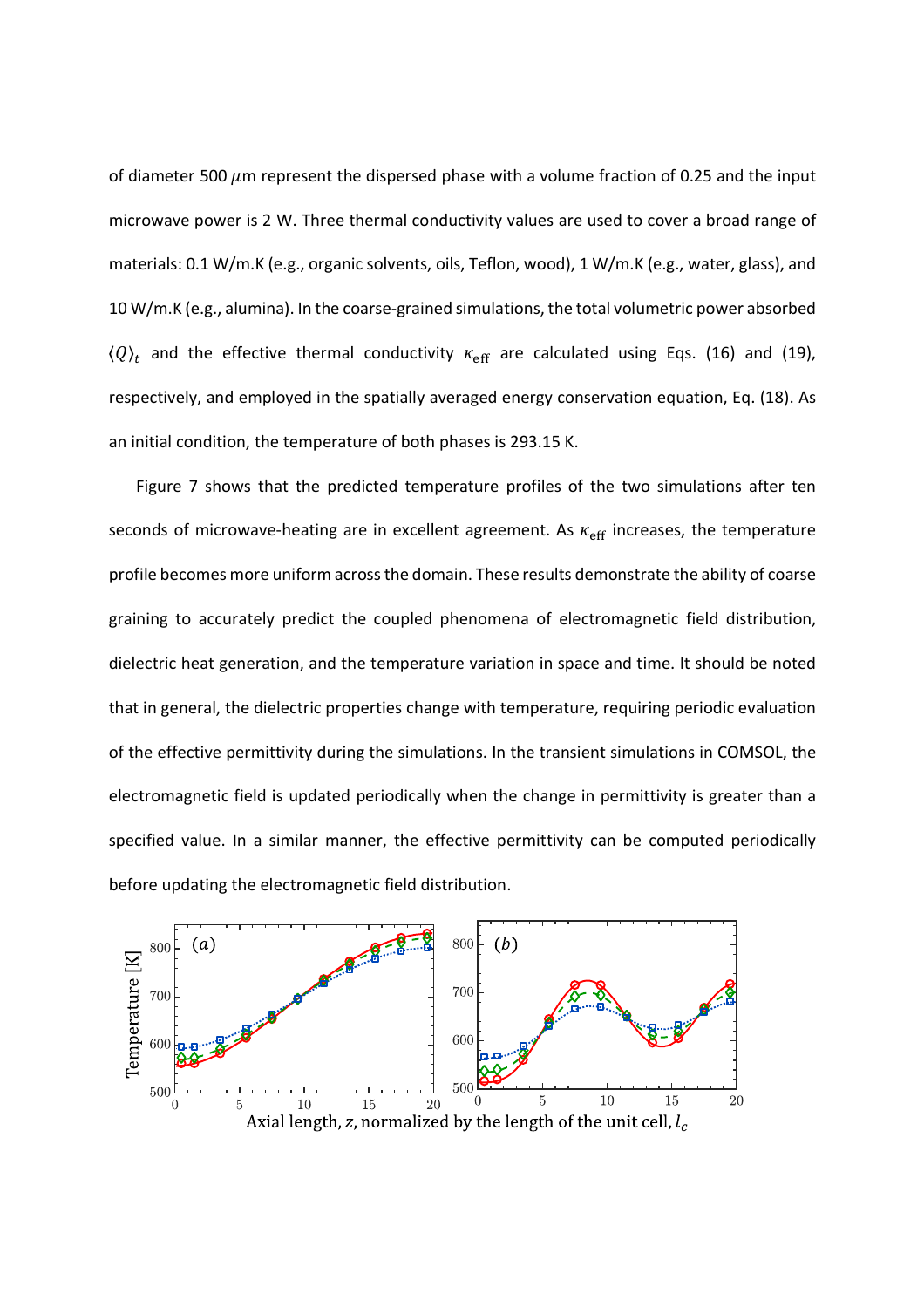of diameter 500  $\mu$ m represent the dispersed phase with a volume fraction of 0.25 and the input microwave power is 2 W. Three thermal conductivity values are used to cover a broad range of materials: 0.1 W/m.K (e.g., organic solvents, oils, Teflon, wood), 1 W/m.K (e.g., water, glass), and 10 W/m.K (e.g., alumina). In the coarse-grained simulations, the total volumetric power absorbed  $\langle Q \rangle_t$  and the effective thermal conductivity  $\kappa_{\rm eff}$  are calculated using Eqs. (16) and (19), respectively, and employed in the spatially averaged energy conservation equation, Eq. (18). As an initial condition, the temperature of both phases is 293.15 K.

Figure 7 shows that the predicted temperature profiles of the two simulations after ten seconds of microwave-heating are in excellent agreement. As  $\kappa_{\rm eff}$  increases, the temperature profile becomes more uniform across the domain. These results demonstrate the ability of coarse graining to accurately predict the coupled phenomena of electromagnetic field distribution, dielectric heat generation, and the temperature variation in space and time. It should be noted that in general, the dielectric properties change with temperature, requiring periodic evaluation of the effective permittivity during the simulations. In the transient simulations in COMSOL, the electromagnetic field is updated periodically when the change in permittivity is greater than a specified value. In a similar manner, the effective permittivity can be computed periodically before updating the electromagnetic field distribution.

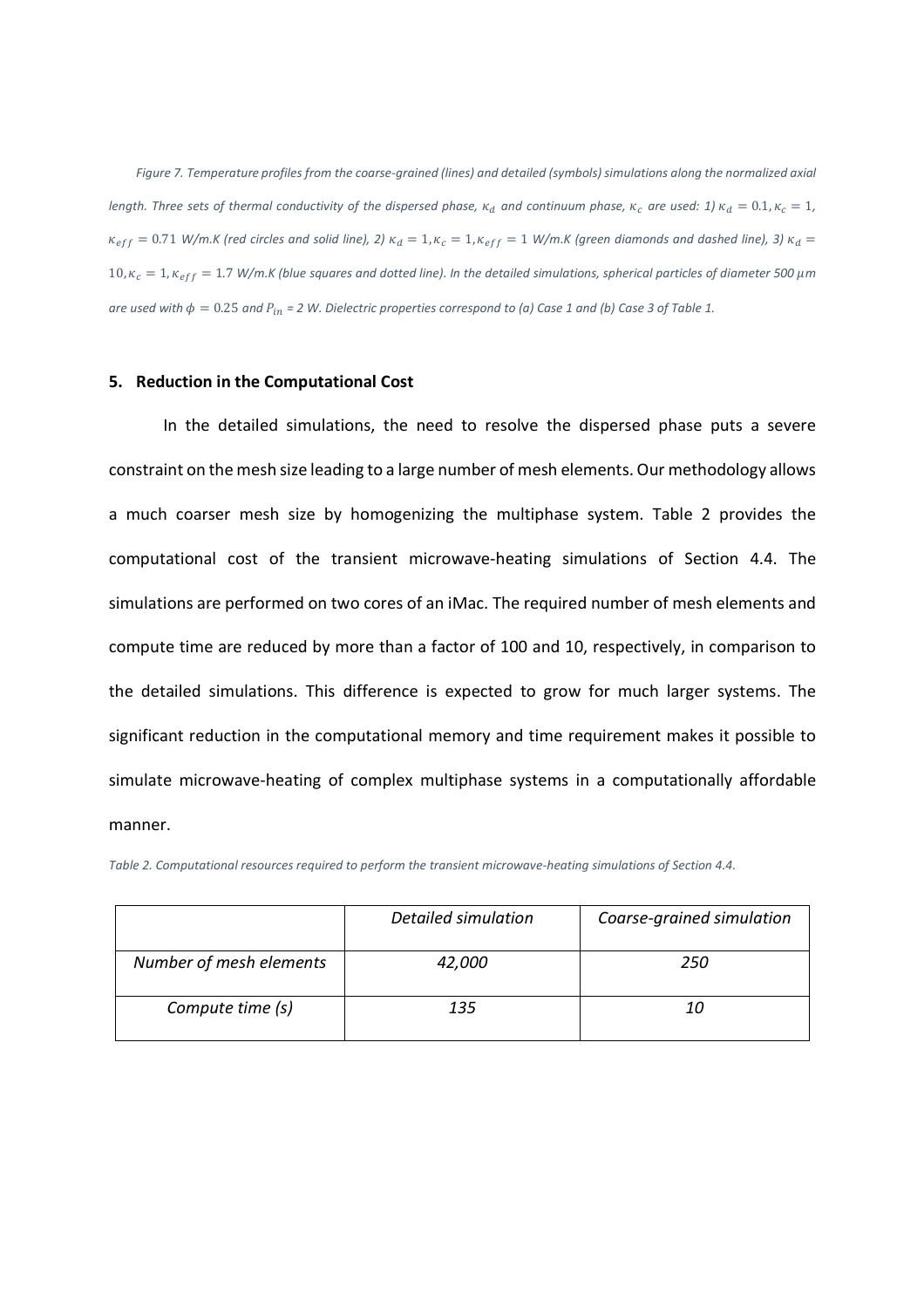*Figure 7. Temperature profiles from the coarse-grained (lines) and detailed (symbols) simulations along the normalized axial*  length. Three sets of thermal conductivity of the dispersed phase,  $\kappa_d$  and continuum phase,  $\kappa_c$  are used: 1)  $\kappa_d = 0.1, \kappa_c = 1$ ,  $\kappa_{eff}=0.71$  W/m.K (red circles and solid line), 2)  $\kappa_d=1$ ,  $\kappa_c=1$ ,  $\kappa_{eff}=1$  W/m.K (green diamonds and dashed line), 3)  $\kappa_d=$  $10$ ,  $\kappa_c=1$ ,  $\kappa_{eff}=1.7$  W/m.K (blue squares and dotted line). In the detailed simulations, spherical particles of diameter 500  $\mu$ m *are used with*  $\phi = 0.25$  *and*  $P_{in} = 2$  *W. Dielectric properties correspond to (a) Case 1 and (b) Case 3 of Table 1.* 

## **5. Reduction in the Computational Cost**

In the detailed simulations, the need to resolve the dispersed phase puts a severe constraint on the mesh size leading to a large number of mesh elements. Our methodology allows a much coarser mesh size by homogenizing the multiphase system. Table 2 provides the computational cost of the transient microwave-heating simulations of Section 4.4. The simulations are performed on two cores of an iMac. The required number of mesh elements and compute time are reduced by more than a factor of 100 and 10, respectively, in comparison to the detailed simulations. This difference is expected to grow for much larger systems. The significant reduction in the computational memory and time requirement makes it possible to simulate microwave-heating of complex multiphase systems in a computationally affordable manner.

|  |  |  | Table 2. Computational resources required to perform the transient microwave-heating simulations of Section 4.4. |
|--|--|--|------------------------------------------------------------------------------------------------------------------|
|--|--|--|------------------------------------------------------------------------------------------------------------------|

|                         | Detailed simulation | Coarse-grained simulation |
|-------------------------|---------------------|---------------------------|
| Number of mesh elements | 42,000              | 250                       |
| Compute time (s)        | 135                 | 10                        |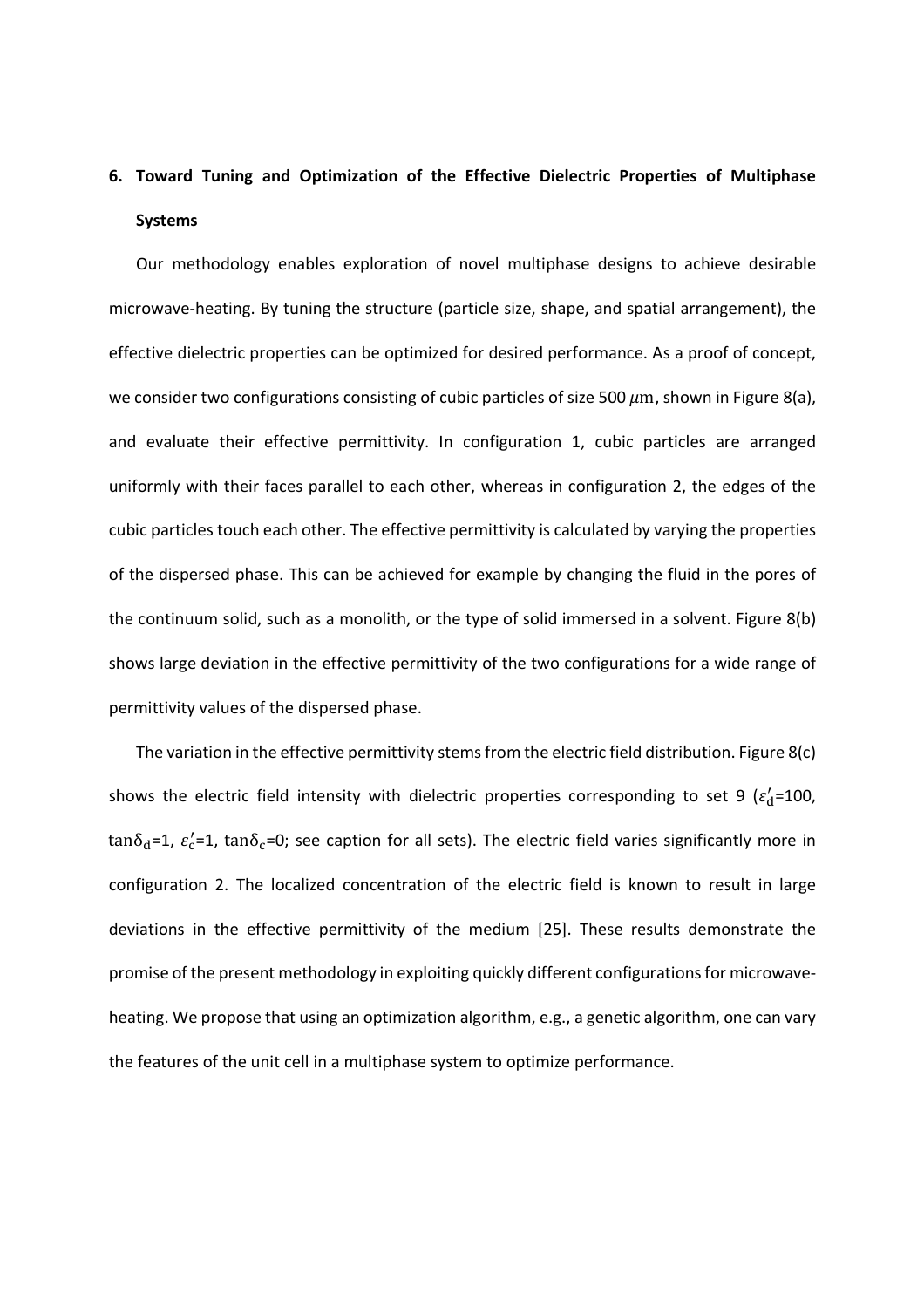# **6. Toward Tuning and Optimization of the Effective Dielectric Properties of Multiphase Systems**

Our methodology enables exploration of novel multiphase designs to achieve desirable microwave-heating. By tuning the structure (particle size, shape, and spatial arrangement), the effective dielectric properties can be optimized for desired performance. As a proof of concept, we consider two configurations consisting of cubic particles of size 500  $\mu$ m, shown in Figure 8(a), and evaluate their effective permittivity. In configuration 1, cubic particles are arranged uniformly with their faces parallel to each other, whereas in configuration 2, the edges of the cubic particles touch each other. The effective permittivity is calculated by varying the properties of the dispersed phase. This can be achieved for example by changing the fluid in the pores of the continuum solid, such as a monolith, or the type of solid immersed in a solvent. Figure 8(b) shows large deviation in the effective permittivity of the two configurations for a wide range of permittivity values of the dispersed phase.

The variation in the effective permittivity stems from the electric field distribution. Figure 8(c) shows the electric field intensity with dielectric properties corresponding to set 9 ( $\varepsilon_d'$ =100, tan $\delta_{\rm d}$ =1,  $\varepsilon_{\rm c}'$ =1, tan $\delta_{\rm c}$ =0; see caption for all sets). The electric field varies significantly more in configuration 2. The localized concentration of the electric field is known to result in large deviations in the effective permittivity of the medium [25]. These results demonstrate the promise of the present methodology in exploiting quickly different configurations for microwaveheating. We propose that using an optimization algorithm, e.g., a genetic algorithm, one can vary the features of the unit cell in a multiphase system to optimize performance.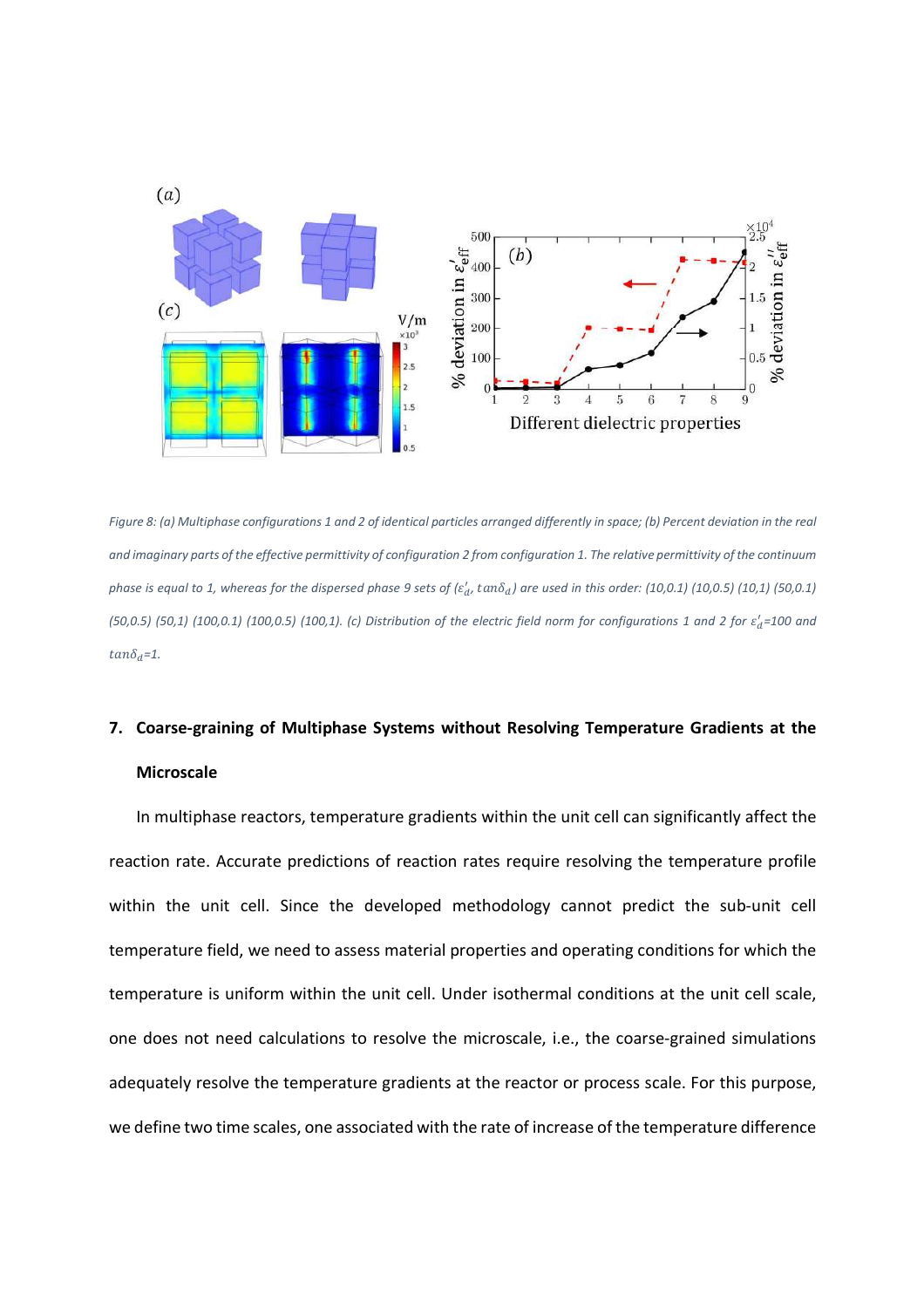

*Figure 8: (a) Multiphase configurations 1 and 2 of identical particles arranged differently in space; (b) Percent deviation in the real and imaginary parts of the effective permittivity of configuration 2 from configuration 1. The relative permittivity of the continuum*  phase is equal to 1, whereas for the dispersed phase 9 sets of ( $\varepsilon_d'$ ,  $tan\delta_d$ ) are used in this order: (10,0.1) (10,0.5) (10,1) (50,0.1)  $(50,0.5)$   $(50,1)$   $(100,0.1)$   $(100,0.5)$   $(100,1)$ . (c) Distribution of the electric field norm for configurations 1 and 2 for  $\varepsilon_d'$ =100 and  $tan \delta_d = 1$ .

# **7. Coarse-graining of Multiphase Systems without Resolving Temperature Gradients at the Microscale**

In multiphase reactors, temperature gradients within the unit cell can significantly affect the reaction rate. Accurate predictions of reaction rates require resolving the temperature profile within the unit cell. Since the developed methodology cannot predict the sub-unit cell temperature field, we need to assess material properties and operating conditions for which the temperature is uniform within the unit cell. Under isothermal conditions at the unit cell scale, one does not need calculations to resolve the microscale, i.e., the coarse-grained simulations adequately resolve the temperature gradients at the reactor or process scale. For this purpose, we define two time scales, one associated with the rate of increase of the temperature difference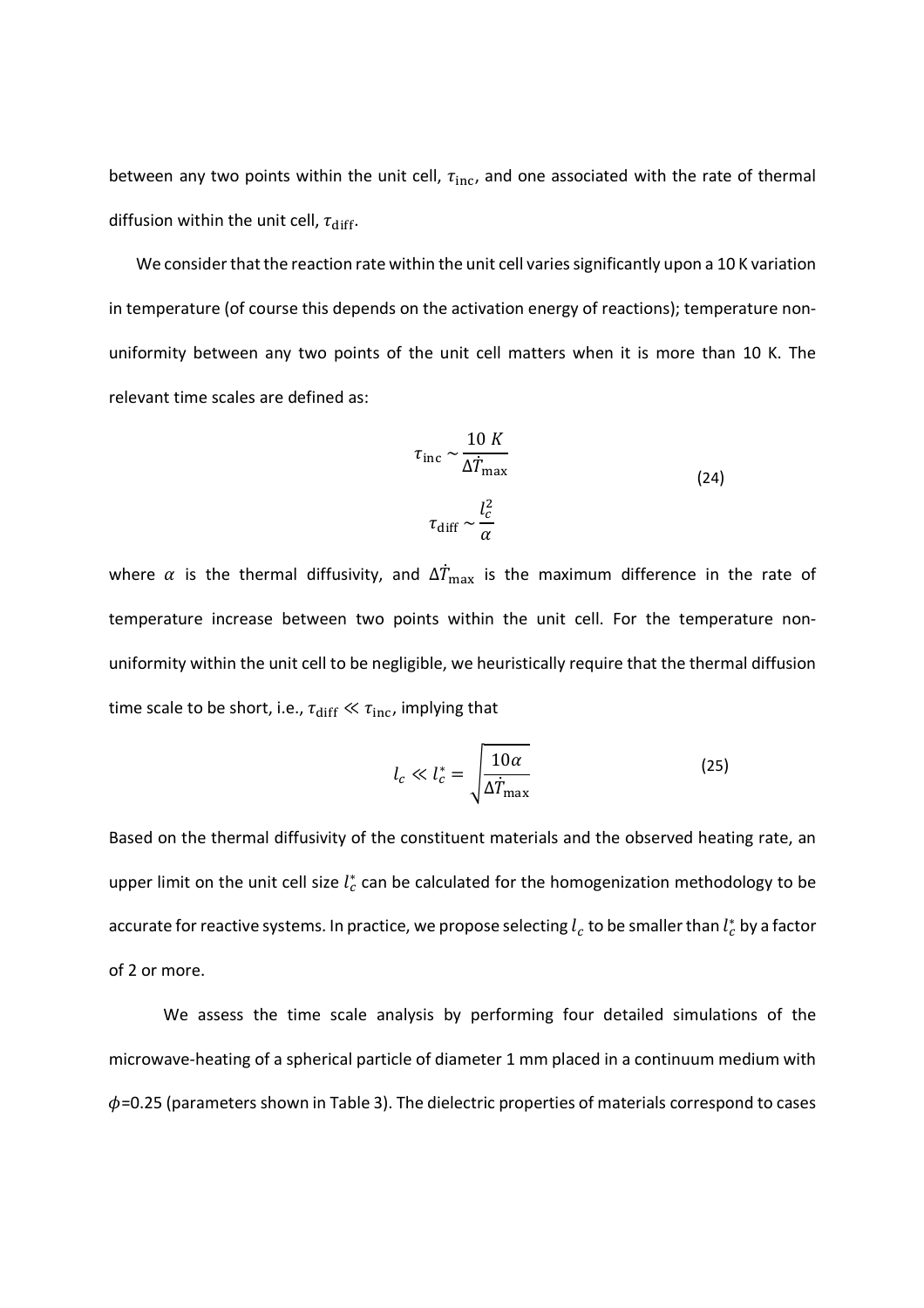between any two points within the unit cell,  $\tau_{\text{inc}}$ , and one associated with the rate of thermal diffusion within the unit cell,  $\tau_{\text{diff}}$ .

We consider that the reaction rate within the unit cell varies significantly upon a 10 K variation in temperature (of course this depends on the activation energy of reactions); temperature nonuniformity between any two points of the unit cell matters when it is more than 10 K. The relevant time scales are defined as:

$$
\tau_{\text{inc}} \sim \frac{10 K}{\Delta T_{\text{max}}}
$$
\n
$$
\tau_{\text{diff}} \sim \frac{l_c^2}{\alpha}
$$
\n(24)

where  $\alpha$  is the thermal diffusivity, and  $\Delta\dot{T}_{\rm max}$  is the maximum difference in the rate of temperature increase between two points within the unit cell. For the temperature nonuniformity within the unit cell to be negligible, we heuristically require that the thermal diffusion time scale to be short, i.e.,  $\tau_{\text{diff}} \ll \tau_{\text{inc}}$ , implying that

$$
l_c \ll l_c^* = \sqrt{\frac{10\alpha}{\Delta \dot{T}_{\text{max}}}}
$$
 (25)

Based on the thermal diffusivity of the constituent materials and the observed heating rate, an upper limit on the unit cell size  $l_c^*$  can be calculated for the homogenization methodology to be accurate for reactive systems. In practice, we propose selecting  $l_c$  to be smaller than  $l_c^\ast$  by a factor of 2 or more.

We assess the time scale analysis by performing four detailed simulations of the microwave-heating of a spherical particle of diameter 1 mm placed in a continuum medium with  $\phi$ =0.25 (parameters shown in Table 3). The dielectric properties of materials correspond to cases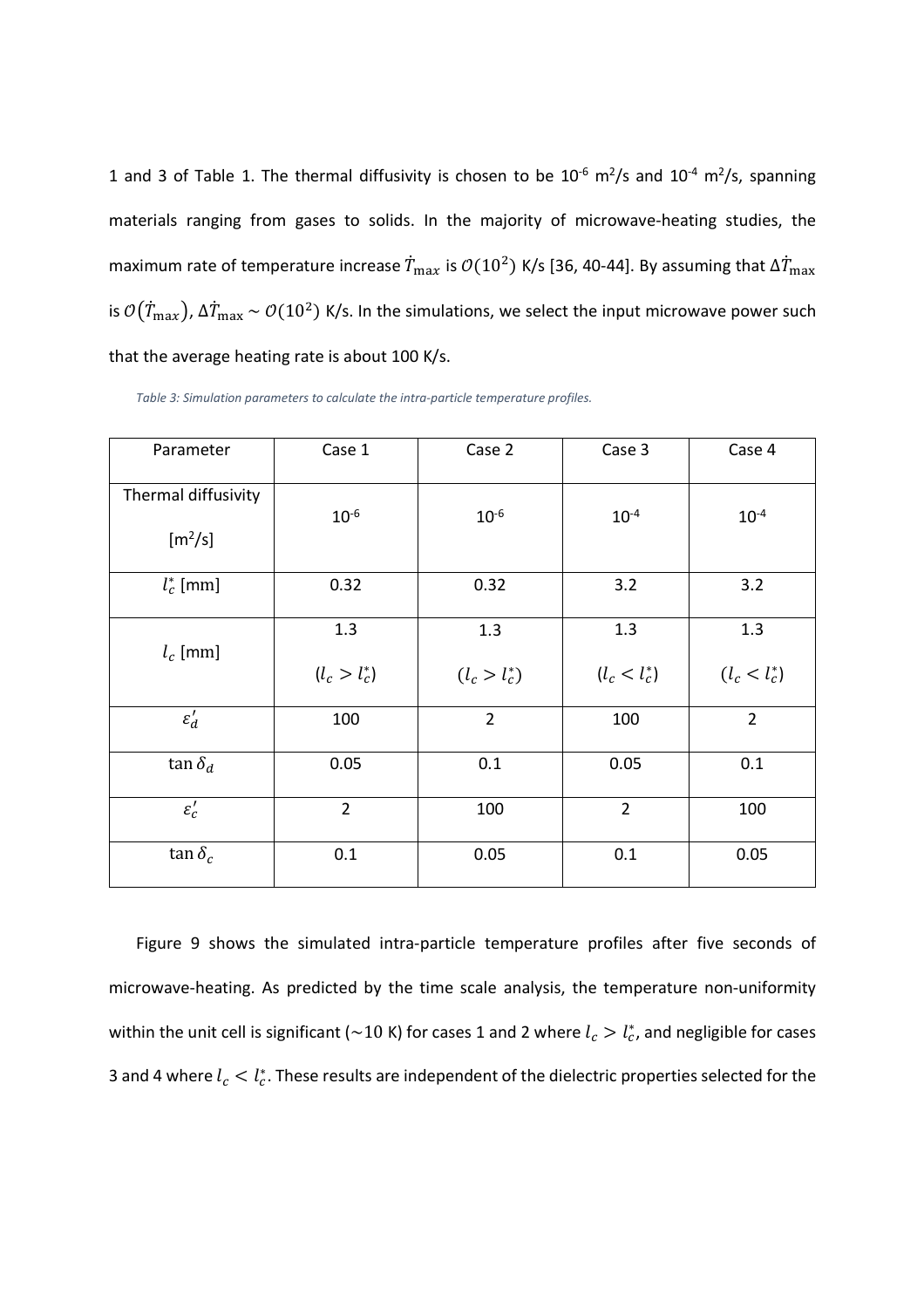1 and 3 of Table 1. The thermal diffusivity is chosen to be  $10^{-6}$  m<sup>2</sup>/s and  $10^{-4}$  m<sup>2</sup>/s, spanning materials ranging from gases to solids. In the majority of microwave-heating studies, the maximum rate of temperature increase  $\dot{T}_{\rm max}$  is  $\mathcal{O}(10^2)$  K/s [36, 40-44]. By assuming that  $\Delta\dot{T}_{\rm max}$ is  $\mathcal{O}(T_\text{max})$ ,  $\Delta T_\text{max}$   $\sim \mathcal{O}(10^2)$  K/s. In the simulations, we select the input microwave power such that the average heating rate is about 100 K/s.

| Parameter                        | Case 1                 | Case 2                 | Case 3                 | Case 4                 |
|----------------------------------|------------------------|------------------------|------------------------|------------------------|
| Thermal diffusivity<br>$[m^2/s]$ | $10^{-6}$              | $10^{-6}$              | $10^{-4}$              | $10^{-4}$              |
| $l_c^*$ [mm]                     | 0.32                   | 0.32                   | 3.2                    | 3.2                    |
| $l_c$ [mm]                       | 1.3<br>$(l_c > l_c^*)$ | 1.3<br>$(l_c > l_c^*)$ | 1.3<br>$(l_c < l_c^*)$ | 1.3<br>$(l_c < l_c^*)$ |
| $\varepsilon_d'$                 | 100                    | $\overline{2}$         | 100                    | $\overline{2}$         |
| $\tan \delta_d$                  | 0.05                   | 0.1                    | 0.05                   | 0.1                    |
| $\varepsilon_c'$                 | $\overline{2}$         | 100                    | $\overline{2}$         | 100                    |
| $\tan \delta_c$                  | 0.1                    | 0.05                   | 0.1                    | 0.05                   |

*Table 3: Simulation parameters to calculate the intra-particle temperature profiles.* 

Figure 9 shows the simulated intra-particle temperature profiles after five seconds of microwave-heating. As predicted by the time scale analysis, the temperature non-uniformity within the unit cell is significant (~10 K) for cases 1 and 2 where  $l_c > l_c^*$ , and negligible for cases 3 and 4 where  $l_c < l_c^*$ . These results are independent of the dielectric properties selected for the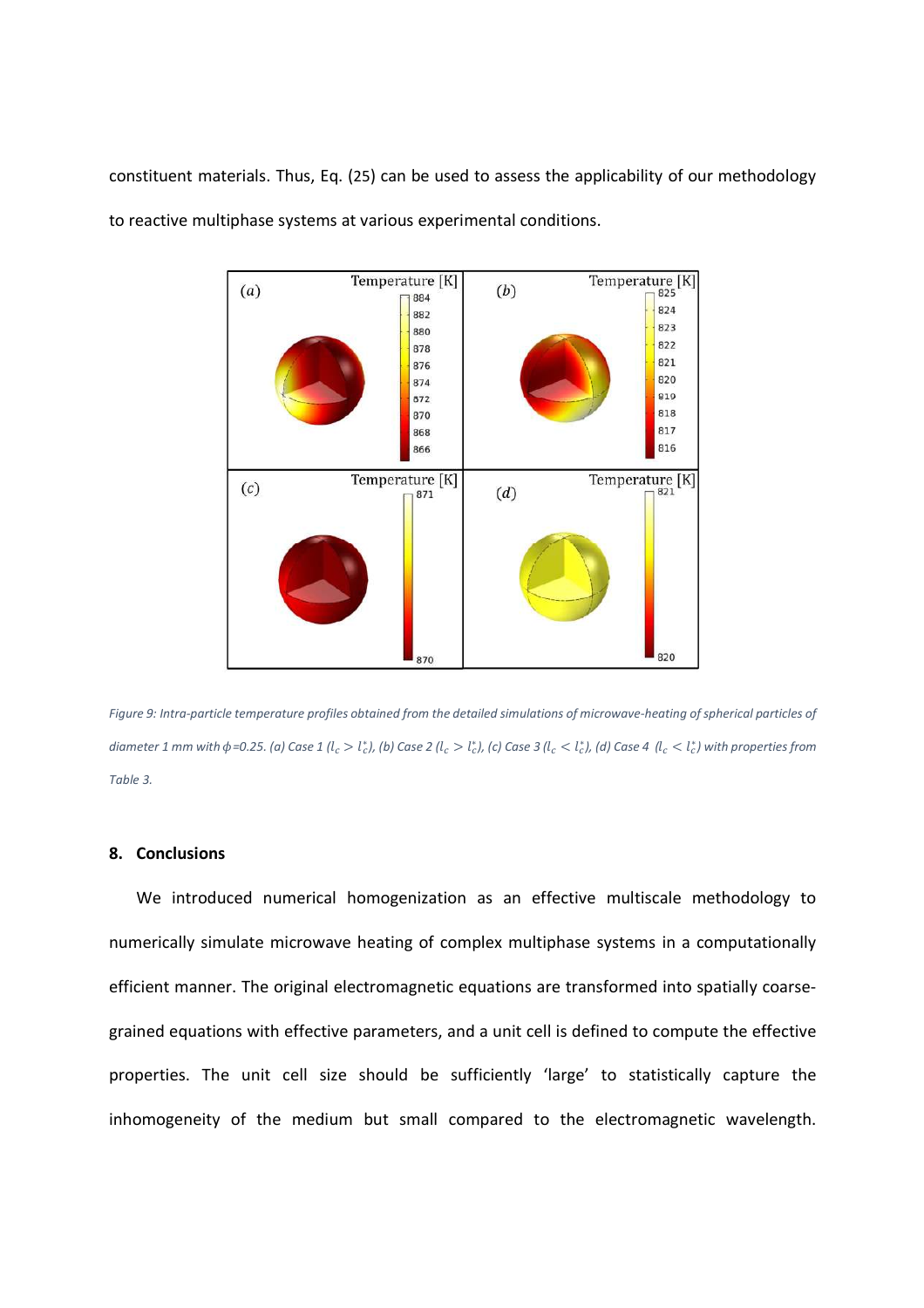constituent materials. Thus, Eq. (25) can be used to assess the applicability of our methodology to reactive multiphase systems at various experimental conditions.



*Figure 9: Intra-particle temperature profiles obtained from the detailed simulations of microwave-heating of spherical particles of*  diameter 1 mm with  $\phi$ =0.25. (a) Case 1 ( $l_c > l_c^*$ ), (b) Case 2 ( $l_c > l_c^*$ ), (c) Case 3 ( $l_c < l_c^*$ ), (d) Case 4  $(l_c < l_c^*$ ) with properties from *Table 3.* 

#### **8. Conclusions**

We introduced numerical homogenization as an effective multiscale methodology to numerically simulate microwave heating of complex multiphase systems in a computationally efficient manner. The original electromagnetic equations are transformed into spatially coarsegrained equations with effective parameters, and a unit cell is defined to compute the effective properties. The unit cell size should be sufficiently 'large' to statistically capture the inhomogeneity of the medium but small compared to the electromagnetic wavelength.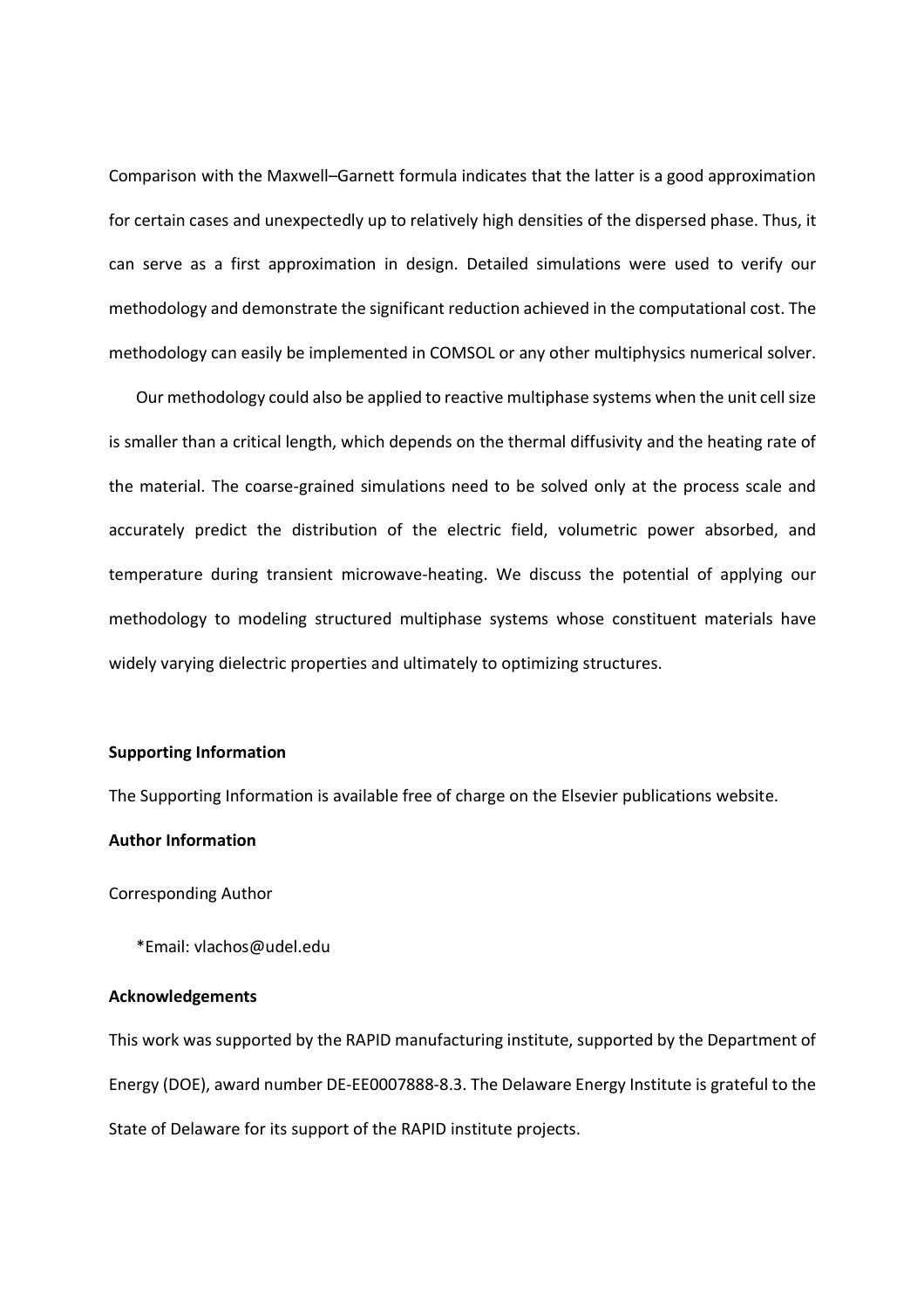Comparison with the Maxwell–Garnett formula indicates that the latter is a good approximation for certain cases and unexpectedly up to relatively high densities of the dispersed phase. Thus, it can serve as a first approximation in design. Detailed simulations were used to verify our methodology and demonstrate the significant reduction achieved in the computational cost. The methodology can easily be implemented in COMSOL or any other multiphysics numerical solver.

Our methodology could also be applied to reactive multiphase systems when the unit cell size is smaller than a critical length, which depends on the thermal diffusivity and the heating rate of the material. The coarse-grained simulations need to be solved only at the process scale and accurately predict the distribution of the electric field, volumetric power absorbed, and temperature during transient microwave-heating. We discuss the potential of applying our methodology to modeling structured multiphase systems whose constituent materials have widely varying dielectric properties and ultimately to optimizing structures.

#### **Supporting Information**

The Supporting Information is available free of charge on the Elsevier publications website.

### **Author Information**

Corresponding Author

\*Email: vlachos@udel.edu

## **Acknowledgements**

This work was supported by the RAPID manufacturing institute, supported by the Department of Energy (DOE), award number DE-EE0007888-8.3. The Delaware Energy Institute is grateful to the State of Delaware for its support of the RAPID institute projects.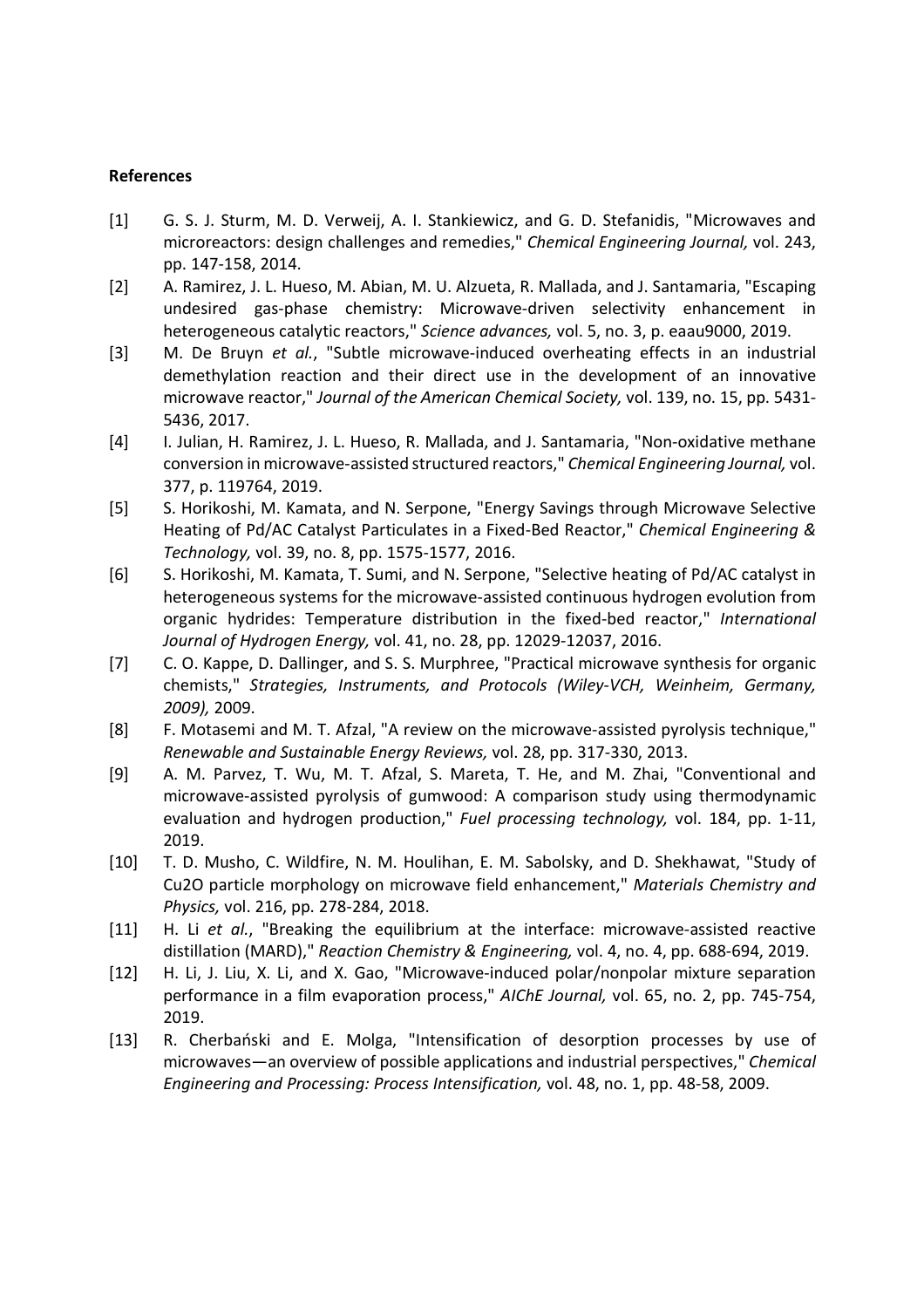# **References**

- [1] G. S. J. Sturm, M. D. Verweij, A. I. Stankiewicz, and G. D. Stefanidis, "Microwaves and microreactors: design challenges and remedies," *Chemical Engineering Journal,* vol. 243, pp. 147-158, 2014.
- [2] A. Ramirez, J. L. Hueso, M. Abian, M. U. Alzueta, R. Mallada, and J. Santamaria, "Escaping undesired gas-phase chemistry: Microwave-driven selectivity enhancement in heterogeneous catalytic reactors," *Science advances,* vol. 5, no. 3, p. eaau9000, 2019.
- [3] M. De Bruyn *et al.*, "Subtle microwave-induced overheating effects in an industrial demethylation reaction and their direct use in the development of an innovative microwave reactor," *Journal of the American Chemical Society,* vol. 139, no. 15, pp. 5431- 5436, 2017.
- [4] I. Julian, H. Ramirez, J. L. Hueso, R. Mallada, and J. Santamaria, "Non-oxidative methane conversion in microwave-assisted structured reactors," *Chemical Engineering Journal,* vol. 377, p. 119764, 2019.
- [5] S. Horikoshi, M. Kamata, and N. Serpone, "Energy Savings through Microwave Selective Heating of Pd/AC Catalyst Particulates in a Fixed-Bed Reactor," *Chemical Engineering & Technology,* vol. 39, no. 8, pp. 1575-1577, 2016.
- [6] S. Horikoshi, M. Kamata, T. Sumi, and N. Serpone, "Selective heating of Pd/AC catalyst in heterogeneous systems for the microwave-assisted continuous hydrogen evolution from organic hydrides: Temperature distribution in the fixed-bed reactor," *International Journal of Hydrogen Energy,* vol. 41, no. 28, pp. 12029-12037, 2016.
- [7] C. O. Kappe, D. Dallinger, and S. S. Murphree, "Practical microwave synthesis for organic chemists," *Strategies, Instruments, and Protocols (Wiley-VCH, Weinheim, Germany, 2009),* 2009.
- [8] F. Motasemi and M. T. Afzal, "A review on the microwave-assisted pyrolysis technique," *Renewable and Sustainable Energy Reviews,* vol. 28, pp. 317-330, 2013.
- [9] A. M. Parvez, T. Wu, M. T. Afzal, S. Mareta, T. He, and M. Zhai, "Conventional and microwave-assisted pyrolysis of gumwood: A comparison study using thermodynamic evaluation and hydrogen production," *Fuel processing technology,* vol. 184, pp. 1-11, 2019.
- [10] T. D. Musho, C. Wildfire, N. M. Houlihan, E. M. Sabolsky, and D. Shekhawat, "Study of Cu2O particle morphology on microwave field enhancement," *Materials Chemistry and Physics,* vol. 216, pp. 278-284, 2018.
- [11] H. Li *et al.*, "Breaking the equilibrium at the interface: microwave-assisted reactive distillation (MARD)," *Reaction Chemistry & Engineering,* vol. 4, no. 4, pp. 688-694, 2019.
- [12] H. Li, J. Liu, X. Li, and X. Gao, "Microwave-induced polar/nonpolar mixture separation performance in a film evaporation process," *AIChE Journal,* vol. 65, no. 2, pp. 745-754, 2019.
- [13] R. Cherbański and E. Molga, "Intensification of desorption processes by use of microwaves—an overview of possible applications and industrial perspectives," *Chemical Engineering and Processing: Process Intensification,* vol. 48, no. 1, pp. 48-58, 2009.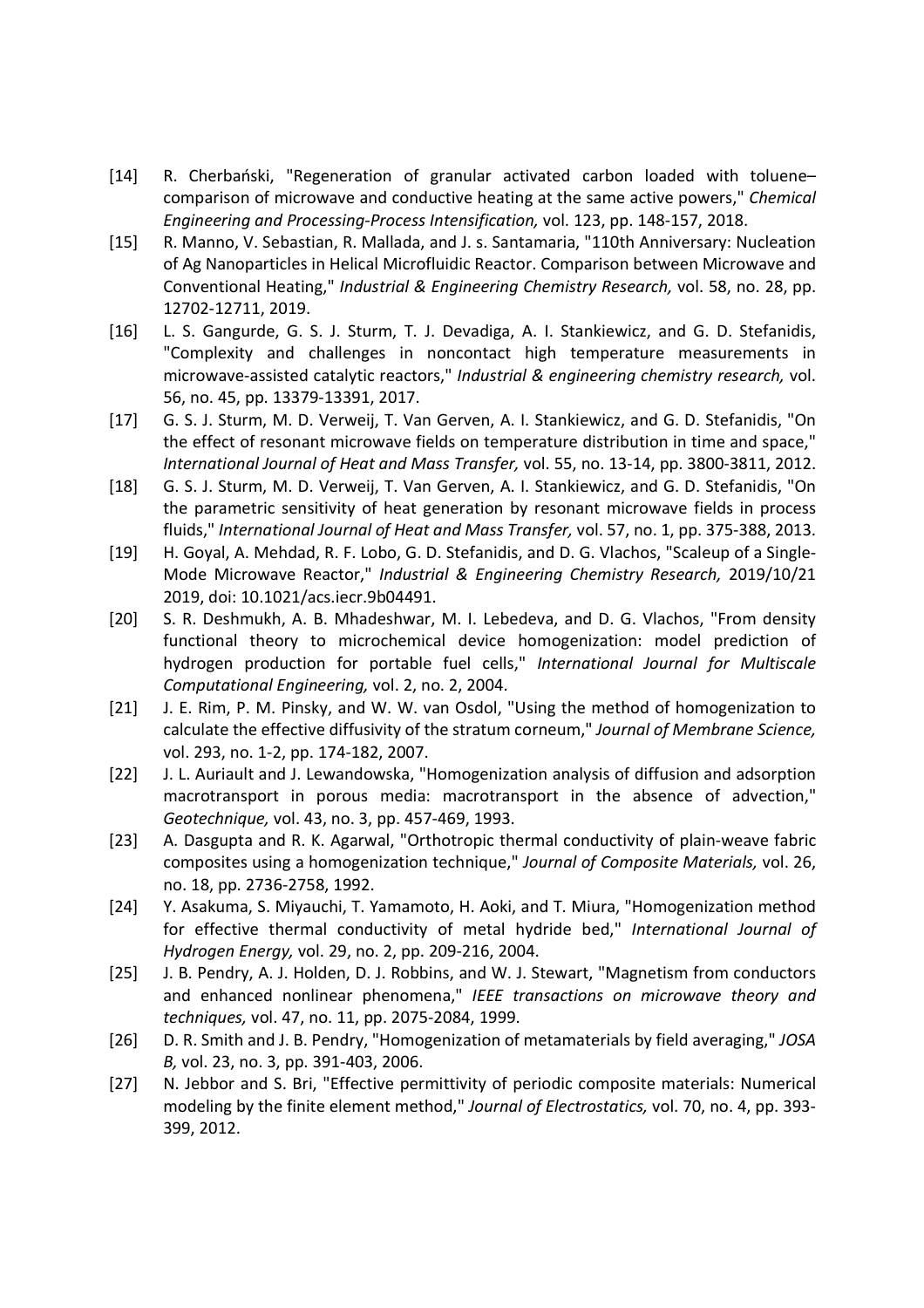- [14] R. Cherbański, "Regeneration of granular activated carbon loaded with toluene– comparison of microwave and conductive heating at the same active powers," *Chemical Engineering and Processing-Process Intensification,* vol. 123, pp. 148-157, 2018.
- [15] R. Manno, V. Sebastian, R. Mallada, and J. s. Santamaria, "110th Anniversary: Nucleation of Ag Nanoparticles in Helical Microfluidic Reactor. Comparison between Microwave and Conventional Heating," *Industrial & Engineering Chemistry Research,* vol. 58, no. 28, pp. 12702-12711, 2019.
- [16] L. S. Gangurde, G. S. J. Sturm, T. J. Devadiga, A. I. Stankiewicz, and G. D. Stefanidis, "Complexity and challenges in noncontact high temperature measurements in microwave-assisted catalytic reactors," *Industrial & engineering chemistry research,* vol. 56, no. 45, pp. 13379-13391, 2017.
- [17] G. S. J. Sturm, M. D. Verweij, T. Van Gerven, A. I. Stankiewicz, and G. D. Stefanidis, "On the effect of resonant microwave fields on temperature distribution in time and space," *International Journal of Heat and Mass Transfer,* vol. 55, no. 13-14, pp. 3800-3811, 2012.
- [18] G. S. J. Sturm, M. D. Verweij, T. Van Gerven, A. I. Stankiewicz, and G. D. Stefanidis, "On the parametric sensitivity of heat generation by resonant microwave fields in process fluids," *International Journal of Heat and Mass Transfer,* vol. 57, no. 1, pp. 375-388, 2013.
- [19] H. Goyal, A. Mehdad, R. F. Lobo, G. D. Stefanidis, and D. G. Vlachos, "Scaleup of a Single-Mode Microwave Reactor," *Industrial & Engineering Chemistry Research,* 2019/10/21 2019, doi: 10.1021/acs.iecr.9b04491.
- [20] S. R. Deshmukh, A. B. Mhadeshwar, M. I. Lebedeva, and D. G. Vlachos, "From density functional theory to microchemical device homogenization: model prediction of hydrogen production for portable fuel cells," *International Journal for Multiscale Computational Engineering,* vol. 2, no. 2, 2004.
- [21] J. E. Rim, P. M. Pinsky, and W. W. van Osdol, "Using the method of homogenization to calculate the effective diffusivity of the stratum corneum," *Journal of Membrane Science,*  vol. 293, no. 1-2, pp. 174-182, 2007.
- [22] J. L. Auriault and J. Lewandowska, "Homogenization analysis of diffusion and adsorption macrotransport in porous media: macrotransport in the absence of advection," *Geotechnique,* vol. 43, no. 3, pp. 457-469, 1993.
- [23] A. Dasgupta and R. K. Agarwal, "Orthotropic thermal conductivity of plain-weave fabric composites using a homogenization technique," *Journal of Composite Materials,* vol. 26, no. 18, pp. 2736-2758, 1992.
- [24] Y. Asakuma, S. Miyauchi, T. Yamamoto, H. Aoki, and T. Miura, "Homogenization method for effective thermal conductivity of metal hydride bed," *International Journal of Hydrogen Energy,* vol. 29, no. 2, pp. 209-216, 2004.
- [25] J. B. Pendry, A. J. Holden, D. J. Robbins, and W. J. Stewart, "Magnetism from conductors and enhanced nonlinear phenomena," *IEEE transactions on microwave theory and techniques,* vol. 47, no. 11, pp. 2075-2084, 1999.
- [26] D. R. Smith and J. B. Pendry, "Homogenization of metamaterials by field averaging," *JOSA B,* vol. 23, no. 3, pp. 391-403, 2006.
- [27] N. Jebbor and S. Bri, "Effective permittivity of periodic composite materials: Numerical modeling by the finite element method," *Journal of Electrostatics,* vol. 70, no. 4, pp. 393- 399, 2012.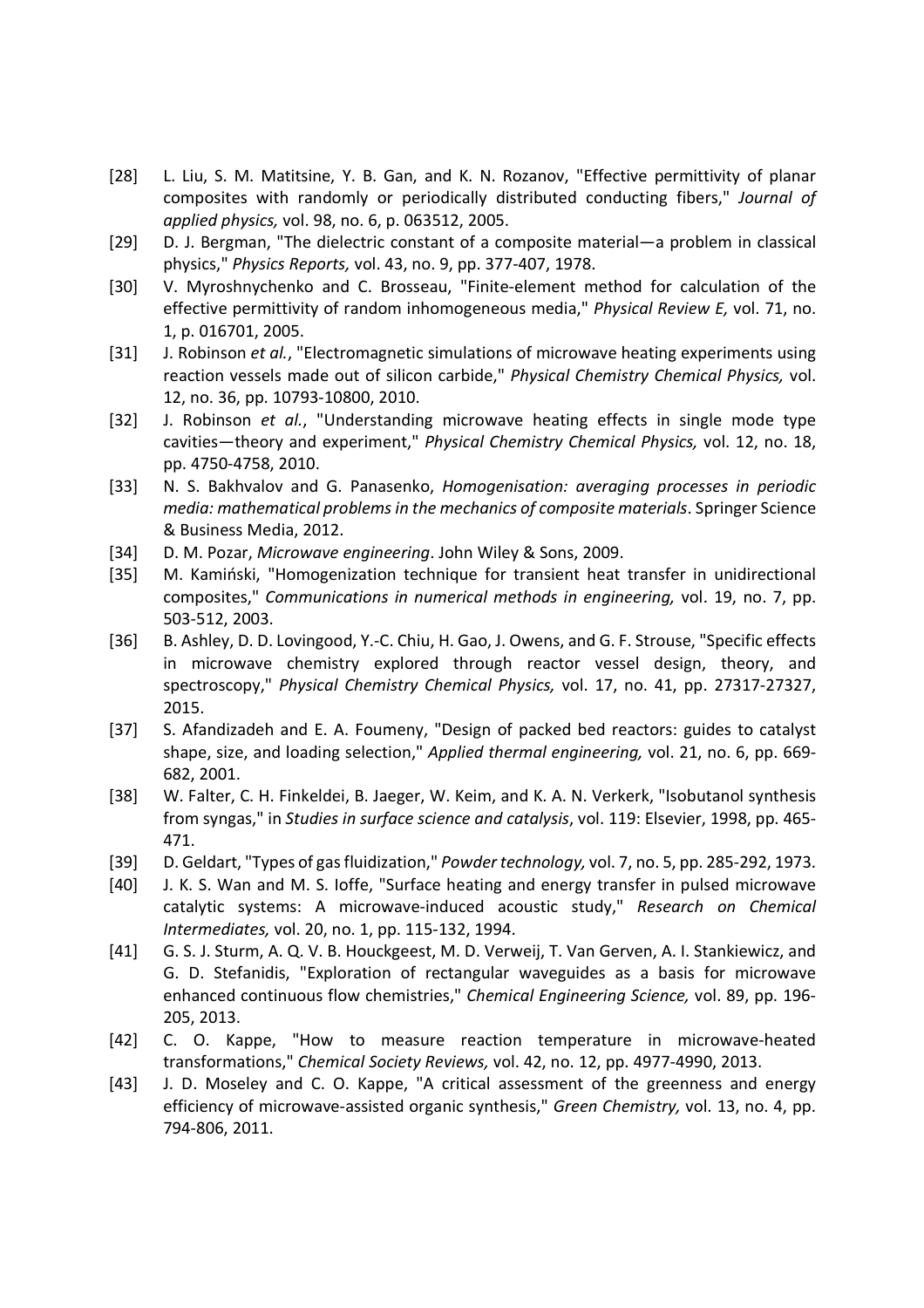- [28] L. Liu, S. M. Matitsine, Y. B. Gan, and K. N. Rozanov, "Effective permittivity of planar composites with randomly or periodically distributed conducting fibers," *Journal of applied physics,* vol. 98, no. 6, p. 063512, 2005.
- [29] D. J. Bergman, "The dielectric constant of a composite material—a problem in classical physics," *Physics Reports,* vol. 43, no. 9, pp. 377-407, 1978.
- [30] V. Myroshnychenko and C. Brosseau, "Finite-element method for calculation of the effective permittivity of random inhomogeneous media," *Physical Review E,* vol. 71, no. 1, p. 016701, 2005.
- [31] J. Robinson *et al.*, "Electromagnetic simulations of microwave heating experiments using reaction vessels made out of silicon carbide," *Physical Chemistry Chemical Physics,* vol. 12, no. 36, pp. 10793-10800, 2010.
- [32] J. Robinson *et al.*, "Understanding microwave heating effects in single mode type cavities—theory and experiment," *Physical Chemistry Chemical Physics,* vol. 12, no. 18, pp. 4750-4758, 2010.
- [33] N. S. Bakhvalov and G. Panasenko, *Homogenisation: averaging processes in periodic media: mathematical problems in the mechanics of composite materials*. Springer Science & Business Media, 2012.
- [34] D. M. Pozar, *Microwave engineering*. John Wiley & Sons, 2009.
- [35] M. Kamiński, "Homogenization technique for transient heat transfer in unidirectional composites," *Communications in numerical methods in engineering,* vol. 19, no. 7, pp. 503-512, 2003.
- [36] B. Ashley, D. D. Lovingood, Y.-C. Chiu, H. Gao, J. Owens, and G. F. Strouse, "Specific effects in microwave chemistry explored through reactor vessel design, theory, and spectroscopy," *Physical Chemistry Chemical Physics,* vol. 17, no. 41, pp. 27317-27327, 2015.
- [37] S. Afandizadeh and E. A. Foumeny, "Design of packed bed reactors: guides to catalyst shape, size, and loading selection," *Applied thermal engineering,* vol. 21, no. 6, pp. 669- 682, 2001.
- [38] W. Falter, C. H. Finkeldei, B. Jaeger, W. Keim, and K. A. N. Verkerk, "Isobutanol synthesis from syngas," in *Studies in surface science and catalysis*, vol. 119: Elsevier, 1998, pp. 465- 471.
- [39] D. Geldart, "Types of gas fluidization," *Powder technology,* vol. 7, no. 5, pp. 285-292, 1973.
- [40] J. K. S. Wan and M. S. Ioffe, "Surface heating and energy transfer in pulsed microwave catalytic systems: A microwave-induced acoustic study," *Research on Chemical Intermediates,* vol. 20, no. 1, pp. 115-132, 1994.
- [41] G. S. J. Sturm, A. Q. V. B. Houckgeest, M. D. Verweij, T. Van Gerven, A. I. Stankiewicz, and G. D. Stefanidis, "Exploration of rectangular waveguides as a basis for microwave enhanced continuous flow chemistries," *Chemical Engineering Science,* vol. 89, pp. 196- 205, 2013.
- [42] C. O. Kappe, "How to measure reaction temperature in microwave-heated transformations," *Chemical Society Reviews,* vol. 42, no. 12, pp. 4977-4990, 2013.
- [43] J. D. Moseley and C. O. Kappe, "A critical assessment of the greenness and energy efficiency of microwave-assisted organic synthesis," *Green Chemistry,* vol. 13, no. 4, pp. 794-806, 2011.